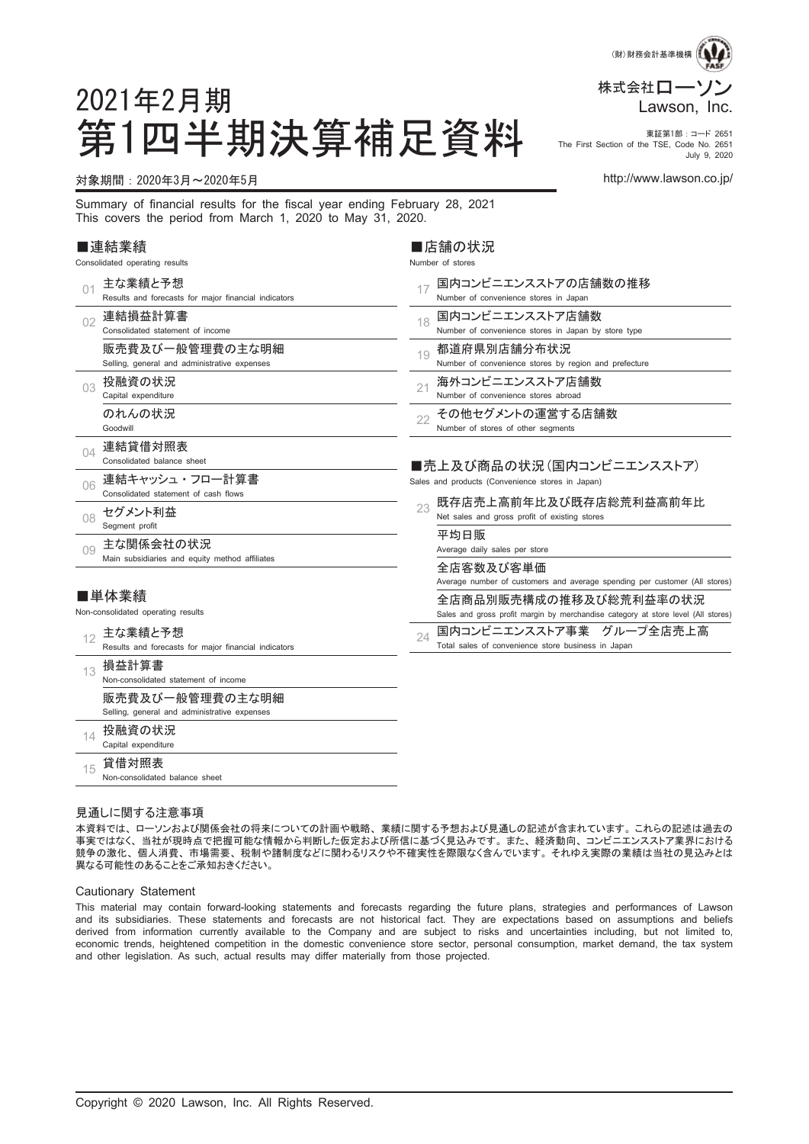

第1四半期決算補足資料 Fire First Section of the TSE, Coste No. 2851 The First Section of the TSE, Code No. 2651 July 9, 2020

#### 対象期間:2020年3月~2020年5月 http://www.lawson.co.jp/

2021年2月期

Summary of financial results for the fiscal year ending February 28, 2021 This covers the period from March 1, 2020 to May 31, 2020.

#### ■連結業績

Consolidated operating results

| 01  | 主な業績と予想                                              | 国内コンビニエンスストアの店舗数の推移<br>17                                                         |
|-----|------------------------------------------------------|-----------------------------------------------------------------------------------|
|     | Results and forecasts for major financial indicators | Number of convenience stores in Japan                                             |
| 02  | 連結損益計算書                                              | 国内コンビニエンスストア店舗数<br>18                                                             |
|     | Consolidated statement of income                     | Number of convenience stores in Japan by store type                               |
|     | 販売費及び一般管理費の主な明細                                      | 都道府県別店舗分布状況<br>19                                                                 |
|     | Selling, general and administrative expenses         | Number of convenience stores by region and prefecture                             |
| 03  | 投融資の状況                                               | 海外コンビニエンスストア店舗数<br>21                                                             |
|     | Capital expenditure                                  | Number of convenience stores abroad                                               |
|     | のれんの状況                                               | その他セグメントの運営する店舗数<br>22                                                            |
|     | Goodwill                                             | Number of stores of other segments                                                |
| 04  | 連結貸借対照表                                              |                                                                                   |
|     | Consolidated balance sheet                           | ■売上及び商品の状況(国内コンビニエンスストア)                                                          |
| 06  | 連結キャッシュ・フロー計算書                                       | Sales and products (Convenience stores in Japan)                                  |
|     | Consolidated statement of cash flows                 | 既存店売上高前年比及び既存店総荒利益高前年比                                                            |
| 08  | セグメント利益                                              | 23<br>Net sales and gross profit of existing stores                               |
|     | Segment profit                                       | 平均日販                                                                              |
| 0.9 | 主な関係会社の状況                                            | Average daily sales per store                                                     |
|     | Main subsidiaries and equity method affiliates       | 全店客数及び客単価                                                                         |
|     |                                                      | Average number of customers and average spending per customer (All stores)        |
|     | ■単体業績                                                | 全店商品別販売構成の推移及び総荒利益率の状況                                                            |
|     | Non-consolidated operating results                   | Sales and gross profit margin by merchandise category at store level (All stores) |
|     | 主な業績と予想                                              | 国内コンビニエンスストア事業 グループ全店売上高<br>24                                                    |
| 12  | Results and forecasts for major financial indicators | Total sales of convenience store business in Japan                                |
| 13  | 損益計算書                                                |                                                                                   |
|     | Non-consolidated statement of income                 |                                                                                   |
|     | 販売費及び一般管理費の主な明細                                      |                                                                                   |
|     | Selling, general and administrative expenses         |                                                                                   |
|     | 投融資の状況                                               |                                                                                   |
| 14  | Capital expenditure                                  |                                                                                   |
| 15  | 貸借対照表                                                |                                                                                   |
|     | Non-consolidated balance sheet                       |                                                                                   |

■店舗の状況 Number of stores

#### 見通しに関する注意事項

本資料では、 ローソンおよび関係会社の将来についての計画や戦略、 業績に関する予想および見通しの記述が含まれています。 これらの記述は過去の 事実ではなく、 当社が現時点で把握可能な情報から判断した仮定および所信に基づく見込みです。 また、 経済動向、 コンビニエンスストア業界における 競争の激化、 個人消費、 市場需要、 税制や諸制度などに関わるリスクや不確実性を際限なく含んでいます。 それゆえ実際の業績は当社の見込みとは 異なる可能性のあることをご承知おきください。

#### Cautionary Statement

This material may contain forward-looking statements and forecasts regarding the future plans, strategies and performances of Lawson and its subsidiaries. These statements and forecasts are not historical fact. They are expectations based on assumptions and beliefs derived from information currently available to the Company and are subject to risks and uncertainties including, but not limited to, economic trends, heightened competition in the domestic convenience store sector, personal consumption, market demand, the tax system and other legislation. As such, actual results may differ materially from those projected.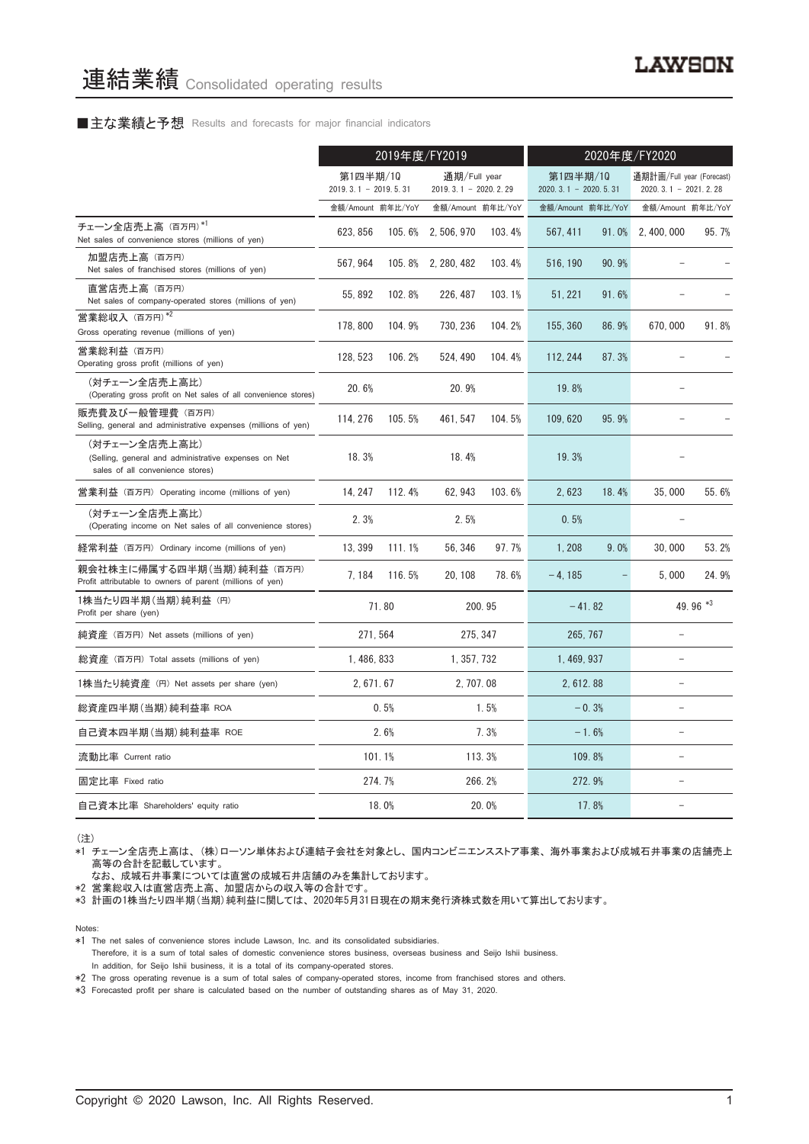#### ■主な業績と予想 Results and forecasts for major financial indicators

|                                                                                                           | 2019年度/FY2019                      |          |                                          | 2020年度/FY2020 |                                    |       |                                                     |          |
|-----------------------------------------------------------------------------------------------------------|------------------------------------|----------|------------------------------------------|---------------|------------------------------------|-------|-----------------------------------------------------|----------|
|                                                                                                           | 第1四半期/10<br>$2019.3.1 - 2019.5.31$ |          | 通期/Full year<br>2019. 3. 1 - 2020. 2. 29 |               | 第1四半期/10<br>$2020.3.1 - 2020.5.31$ |       | 通期計画/Full year (Forecast)<br>$2020.3.1 - 2021.2.28$ |          |
|                                                                                                           | 金額/Amount 前年比/YoY                  |          | 金額/Amount 前年比/YoY                        |               | 金額/Amount 前年比/YoY                  |       | 金額/Amount 前年比/YoY                                   |          |
| チェーン全店売上高 (百万円)*1<br>Net sales of convenience stores (millions of yen)                                    | 623, 856                           | 105.6%   | 2, 506, 970                              | 103.4%        | 567.411                            | 91.0% | 2.400.000                                           | 95.7%    |
| 加盟店売上高 (百万円)<br>Net sales of franchised stores (millions of yen)                                          | 567, 964                           |          | 105.8% 2, 280, 482                       | 103.4%        | 516, 190                           | 90.9% |                                                     |          |
| 直営店売上高(百万円)<br>Net sales of company-operated stores (millions of yen)                                     | 55, 892                            | 102.8%   | 226, 487                                 | 103.1%        | 51, 221                            | 91.6% |                                                     |          |
| 営業総収入 (百万円)*2<br>Gross operating revenue (millions of yen)                                                | 178, 800                           | 104.9%   | 730, 236                                 | 104.2%        | 155, 360                           | 86.9% | 670,000                                             | 91.8%    |
| 営業総利益 (百万円)<br>Operating gross profit (millions of yen)                                                   | 128, 523                           | 106.2%   | 524, 490                                 | 104.4%        | 112.244                            | 87.3% |                                                     |          |
| (対チェーン全店売上高比)<br>(Operating gross profit on Net sales of all convenience stores)                          | 20.6%                              |          | 20.9%                                    |               | 19.8%                              |       |                                                     |          |
| 販売費及び一般管理費(百万円)<br>Selling, general and administrative expenses (millions of yen)                         | 114, 276                           | 105.5%   | 461, 547                                 | 104.5%        | 109, 620                           | 95.9% |                                                     |          |
| (対チェーン全店売上高比)<br>(Selling, general and administrative expenses on Net<br>sales of all convenience stores) | 18.3%                              |          | 18.4%                                    |               | 19.3%                              |       |                                                     |          |
| 営業利益 (百万円) Operating income (millions of yen)                                                             | 14.247                             | 112.4%   | 62.943                                   | 103.6%        | 2.623                              | 18.4% | 35,000                                              | 55.6%    |
| (対チェーン全店売上高比)<br>(Operating income on Net sales of all convenience stores)                                | 2.3%                               |          | 2.5%                                     |               | 0.5%                               |       |                                                     |          |
| 経常利益 (百万円) Ordinary income (millions of yen)                                                              | 13, 399                            | 111.1%   | 56, 346                                  | 97.7%         | 1,208                              | 9.0%  | 30,000                                              | 53.2%    |
| 親会社株主に帰属する四半期 (当期) 純利益 (百万円)<br>Profit attributable to owners of parent (millions of yen)                 | 7.184                              | 116.5%   | 20, 108                                  | 78.6%         | $-4.185$                           |       | 5.000                                               | 24.9%    |
| 1株当たり四半期 (当期) 純利益 (円)<br>Profit per share (yen)                                                           |                                    | 71.80    |                                          | 200.95        | $-41.82$                           |       |                                                     | 49.96 *3 |
| 純資産 (百万円) Net assets (millions of yen)                                                                    |                                    | 271, 564 | 275.347                                  |               | 265, 767                           |       |                                                     |          |
| 総資産 (百万円) Total assets (millions of yen)                                                                  | 1, 486, 833                        |          | 1, 357, 732                              |               | 1, 469, 937                        |       |                                                     |          |
| 1株当たり純資産 (円) Net assets per share (yen)                                                                   | 2, 671, 67                         |          | 2, 707.08                                |               | 2, 612.88                          |       | ۳                                                   |          |
| 総資産四半期(当期) 純利益率 ROA                                                                                       |                                    | 0.5%     |                                          | 1.5%          | $-0.3%$                            |       |                                                     |          |
| 自己資本四半期(当期) 純利益率 ROE                                                                                      |                                    | 2.6%     |                                          | 7.3%          | $-1.6%$                            |       |                                                     |          |
| 流動比率 Current ratio                                                                                        |                                    | 101.1%   |                                          | 113.3%        | 109.8%                             |       |                                                     |          |
| 固定比率 Fixed ratio                                                                                          |                                    | 274.7%   |                                          | 266.2%        | 272.9%                             |       |                                                     |          |
| 自己資本比率 Shareholders' equity ratio                                                                         |                                    | 18.0%    |                                          | 20.0%         |                                    | 17.8% |                                                     |          |

(注)

\*1 チェーン全店売上高は、 (株)ローソン単体および連結子会社を対象とし、 国内コンビニエンスストア事業、 海外事業および成城石井事業の店舗売上 高等の合計を記載しています。

なお、 成城石井事業については直営の成城石井店舗のみを集計しております。

\*2 営業総収入は直営店売上高、 加盟店からの収入等の合計です。

\*3 計画の1株当たり四半期(当期)純利益に関しては、 2020年5月31日現在の期末発行済株式数を用いて算出しております。

Notes:

Therefore, it is a sum of total sales of domestic convenience stores business, overseas business and Seijo Ishii business. In addition, for Seijo Ishii business, it is a total of its company-operated stores.

\*2 The gross operating revenue is a sum of total sales of company-operated stores, income from franchised stores and others.

\*3 Forecasted profit per share is calculated based on the number of outstanding shares as of May 31, 2020.

<sup>\*1</sup> The net sales of convenience stores include Lawson, Inc. and its consolidated subsidiaries.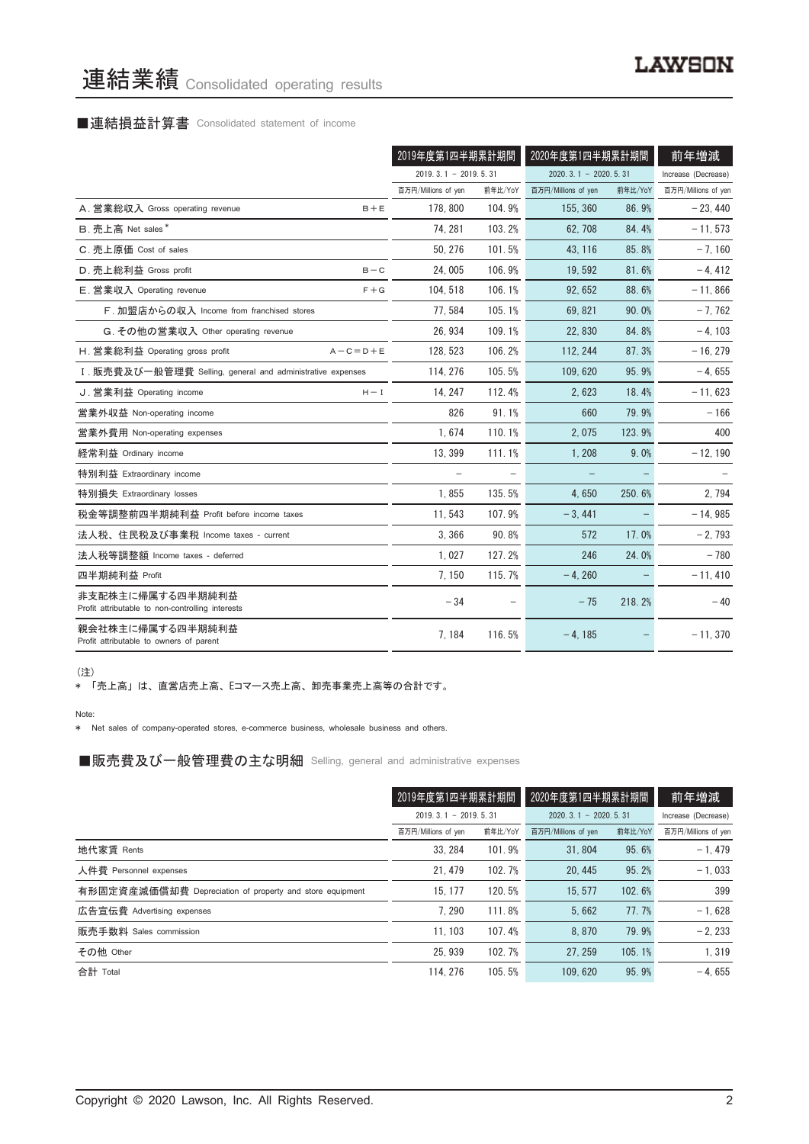# 連結業績 Consolidated operating results

# ■連結損益計算書 Consolidated statement of income

|                                                                      | 2019年度第1四半期累計期間        |         | 2020年度第1四半期累計期間        |         | 前年増減                |
|----------------------------------------------------------------------|------------------------|---------|------------------------|---------|---------------------|
|                                                                      | $2019.3.1 - 2019.5.31$ |         | $2020.3.1 - 2020.5.31$ |         | Increase (Decrease) |
|                                                                      | 百万円/Millions of yen    | 前年比/YoY | 百万円/Millions of yen    | 前年比/YoY | 百万円/Millions of yen |
| A. 営業総収入 Gross operating revenue<br>$B + E$                          | 178, 800               | 104.9%  | 155, 360               | 86.9%   | $-23.440$           |
| B. 売上高 Net sales*                                                    | 74.281                 | 103.2%  | 62.708                 | 84.4%   | $-11, 573$          |
| C. 売上原価 Cost of sales                                                | 50, 276                | 101.5%  | 43, 116                | 85.8%   | $-7,160$            |
| D. 売上総利益 Gross profit<br>$B - C$                                     | 24,005                 | 106.9%  | 19,592                 | 81.6%   | $-4, 412$           |
| $F + G$<br>E. 営業収入 Operating revenue                                 | 104.518                | 106.1%  | 92, 652                | 88.6%   | $-11,866$           |
| F. 加盟店からの収入 Income from franchised stores                            | 77, 584                | 105.1%  | 69.821                 | 90.0%   | $-7,762$            |
| G. その他の営業収入 Other operating revenue                                  | 26, 934                | 109.1%  | 22.830                 | 84.8%   | $-4, 103$           |
| H. 営業総利益 Operating gross profit<br>$A - C = D + E$                   | 128, 523               | 106.2%  | 112, 244               | 87.3%   | $-16, 279$          |
| I. 販売費及び一般管理費 Selling, general and administrative expenses           | 114.276                | 105.5%  | 109.620                | 95.9%   | $-4,655$            |
| J. 営業利益 Operating income<br>$H - I$                                  | 14, 247                | 112.4%  | 2,623                  | 18.4%   | $-11,623$           |
| 営業外収益 Non-operating income                                           | 826                    | 91.1%   | 660                    | 79.9%   | $-166$              |
| 営業外費用 Non-operating expenses                                         | 1,674                  | 110.1%  | 2,075                  | 123.9%  | 400                 |
| 経常利益 Ordinary income                                                 | 13.399                 | 111.1%  | 1.208                  | 9.0%    | $-12, 190$          |
| 特別利益 Extraordinary income                                            |                        |         |                        |         |                     |
| 特別損失 Extraordinary losses                                            | 1,855                  | 135.5%  | 4.650                  | 250.6%  | 2,794               |
| 税金等調整前四半期純利益 Profit before income taxes                              | 11,543                 | 107.9%  | $-3,441$               |         | $-14,985$           |
| 法人税、住民税及び事業税 Income taxes - current                                  | 3.366                  | 90.8%   | 572                    | 17.0%   | $-2,793$            |
| 法人税等調整額 Income taxes - deferred                                      | 1,027                  | 127.2%  | 246                    | 24.0%   | $-780$              |
| 四半期純利益 Profit                                                        | 7.150                  | 115.7%  | $-4.260$               |         | $-11, 410$          |
| 非支配株主に帰属する四半期純利益<br>Profit attributable to non-controlling interests | $-34$                  |         | $-75$                  | 218.2%  | $-40$               |
| 親会社株主に帰属する四半期純利益<br>Profit attributable to owners of parent          | 7,184                  | 116.5%  | $-4.185$               |         | $-11,370$           |

(注)

\* 「売上高」 は、 直営店売上高、 Eコマース売上高、 卸売事業売上高等の合計です。

Note:

\* Net sales of company-operated stores, e-commerce business, wholesale business and others.

■販売費及び一般管理費の主な明細 Selling, general and administrative expenses

|                                                          | 2019年度第1四半期累計期間        |         | 2020年度第1四半期累計期間        |         | 前年増減                |
|----------------------------------------------------------|------------------------|---------|------------------------|---------|---------------------|
|                                                          | $2019.3.1 - 2019.5.31$ |         | $2020.3.1 - 2020.5.31$ |         | Increase (Decrease) |
|                                                          | 百万円/Millions of yen    | 前年比/YoY | 百万円/Millions of yen    | 前年比/YoY | 百万円/Millions of yen |
| 地代家賃 Rents                                               | 33.284                 | 101.9%  | 31.804                 | 95.6%   | $-1.479$            |
| 人件費 Personnel expenses                                   | 21.479                 | 102.7%  | 20.445                 | 95.2%   | $-1.033$            |
| 有形固定資産減価償却費 Depreciation of property and store equipment | 15.177                 | 120.5%  | 15.577                 | 102.6%  | 399                 |
| 広告宣伝費 Advertising expenses                               | 7.290                  | 111.8%  | 5.662                  | 77.7%   | $-1.628$            |
| 販売手数料 Sales commission                                   | 11.103                 | 107.4%  | 8.870                  | 79.9%   | $-2.233$            |
| その他 Other                                                | 25.939                 | 102.7%  | 27.259                 | 105.1%  | 1.319               |
| 合計 Total                                                 | 114, 276               | 105.5%  | 109.620                | 95.9%   | $-4.655$            |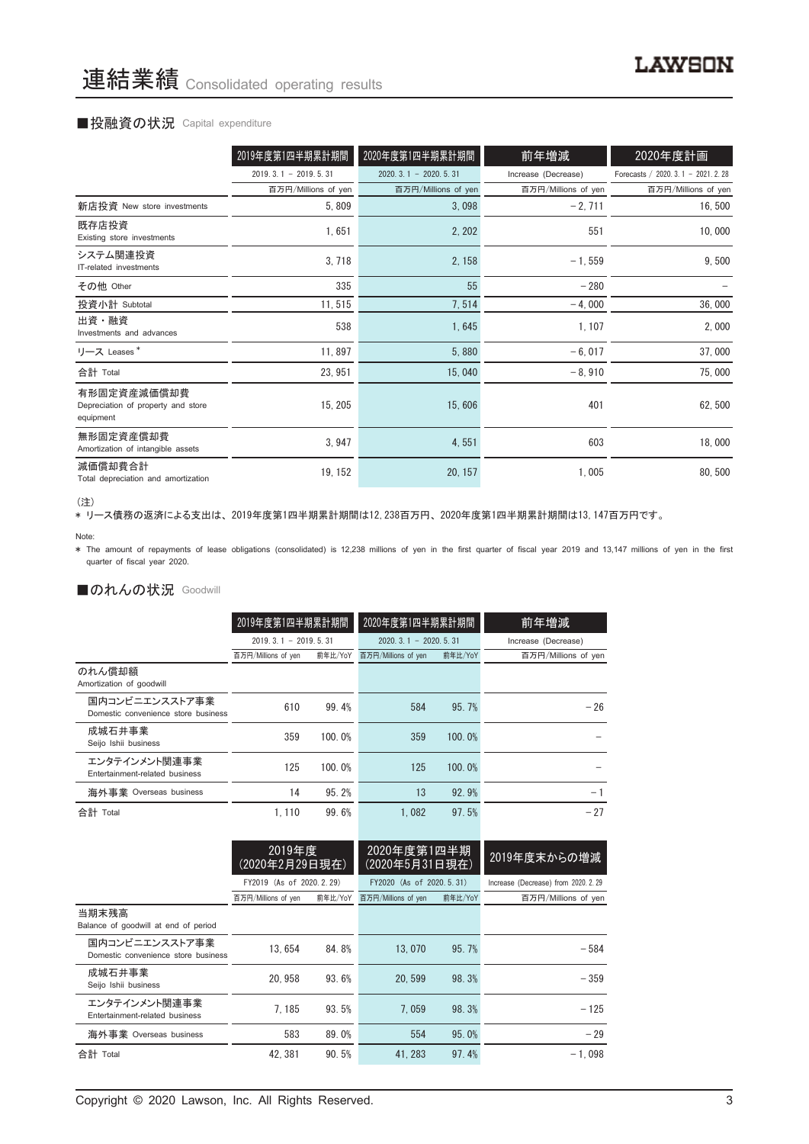#### ■投融資の状況 Capital expenditure

|                                                                | 2019年度第1四半期累計期間        | 2020年度第1四半期累計期間            | 前年増減                | 2020年度計画                             |
|----------------------------------------------------------------|------------------------|----------------------------|---------------------|--------------------------------------|
|                                                                | $2019.3.1 - 2019.5.31$ | $2020, 3, 1 - 2020, 5, 31$ | Increase (Decrease) | Forecasts / 2020. 3. 1 - 2021. 2. 28 |
|                                                                | 百万円/Millions of yen    | 百万円/Millions of yen        | 百万円/Millions of yen | 百万円/Millions of yen                  |
| 新店投資 New store investments                                     | 5,809                  | 3,098                      | $-2,711$            | 16,500                               |
| 既存店投資<br>Existing store investments                            | 1,651                  | 2, 202                     | 551                 | 10,000                               |
| システム関連投資<br>IT-related investments                             | 3,718                  | 2, 158                     | $-1, 559$           | 9,500                                |
| その他 Other                                                      | 335                    | 55                         | $-280$              |                                      |
| 投資小計 Subtotal                                                  | 11,515                 | 7,514                      | $-4,000$            | 36,000                               |
| 出資・融資<br>Investments and advances                              | 538                    | 1,645                      | 1, 107              | 2,000                                |
| リース Leases*                                                    | 11,897                 | 5,880                      | $-6,017$            | 37,000                               |
| 合計 Total                                                       | 23, 951                | 15,040                     | $-8,910$            | 75,000                               |
| 有形固定資産減価償却費<br>Depreciation of property and store<br>equipment | 15, 205                | 15,606                     | 401                 | 62,500                               |
| 無形固定資産償却費<br>Amortization of intangible assets                 | 3, 947                 | 4,551                      | 603                 | 18,000                               |
| 減価償却費合計<br>Total depreciation and amortization                 | 19, 152                | 20, 157                    | 1,005               | 80,500                               |

<sup>(</sup>注)

\* リース債務の返済による支出は、 2019年度第1四半期累計期間は12,238百万円、 2020年度第1四半期累計期間は13,147百万円です。

\* The amount of repayments of lease obligations (consolidated) is 12,238 millions of yen in the first quarter of fiscal year 2019 and 13,147 millions of yen in the first quarter of fiscal year 2020.

#### ■のれんの状況 Goodwill

|                                                       | 2019年度第1四半期累計期間        |         | 2020年度第1四半期累計期間        |         | 前年増減                |  |
|-------------------------------------------------------|------------------------|---------|------------------------|---------|---------------------|--|
|                                                       | $2019.3.1 - 2019.5.31$ |         | $2020.3.1 - 2020.5.31$ |         | Increase (Decrease) |  |
|                                                       | 百万円/Millions of yen    | 前年比/YoY | 百万円/Millions of yen    | 前年比/YoY | 百万円/Millions of yen |  |
| のれん償却額<br>Amortization of goodwill                    |                        |         |                        |         |                     |  |
| 国内コンビニエンスストア事業<br>Domestic convenience store business | 610                    | 99.4%   | 584                    | 95.7%   | $-26$               |  |
| 成城石井事業<br>Seijo Ishii business                        | 359                    | 100.0%  | 359                    | 100.0%  |                     |  |
| エンタテインメント関連事業<br>Entertainment-related business       | 125                    | 100.0%  | 125                    | 100.0%  |                     |  |
| 海外事業 Overseas business                                | 14                     | 95.2%   | 13                     | 92.9%   | - 1                 |  |
| 合計 Total                                              | 1.110                  | 99.6%   | 1.082                  | 97.5%   | $-27$               |  |

|                                                       | 2019年度<br>(2020年2月29日現在) |         | 2020年度第1四半期<br>(2020年5月31日現在) |         | 2019年度末からの増減                         |
|-------------------------------------------------------|--------------------------|---------|-------------------------------|---------|--------------------------------------|
|                                                       | FY2019 (As of 2020.2.29) |         | FY2020 (As of 2020.5.31)      |         | Increase (Decrease) from 2020. 2. 29 |
|                                                       | 百万円/Millions of yen      | 前年比/YoY | 百万円/Millions of yen           | 前年比/YoY | 百万円/Millions of yen                  |
| 当期末残高<br>Balance of goodwill at end of period         |                          |         |                               |         |                                      |
| 国内コンビニエンスストア事業<br>Domestic convenience store business | 13.654                   | 84.8%   | 13.070                        | 95.7%   | $-584$                               |
| 成城石井事業<br>Seijo Ishii business                        | 20.958                   | 93.6%   | 20.599                        | 98.3%   | $-359$                               |
| エンタテインメント関連事業<br>Entertainment-related business       | 7.185                    | 93.5%   | 7.059                         | 98.3%   | $-125$                               |
| 海外事業 Overseas business                                | 583                      | 89.0%   | 554                           | 95.0%   | $-29$                                |
| 合計 Total                                              | 42, 381                  | 90.5%   | 41.283                        | 97.4%   | $-1.098$                             |

Note: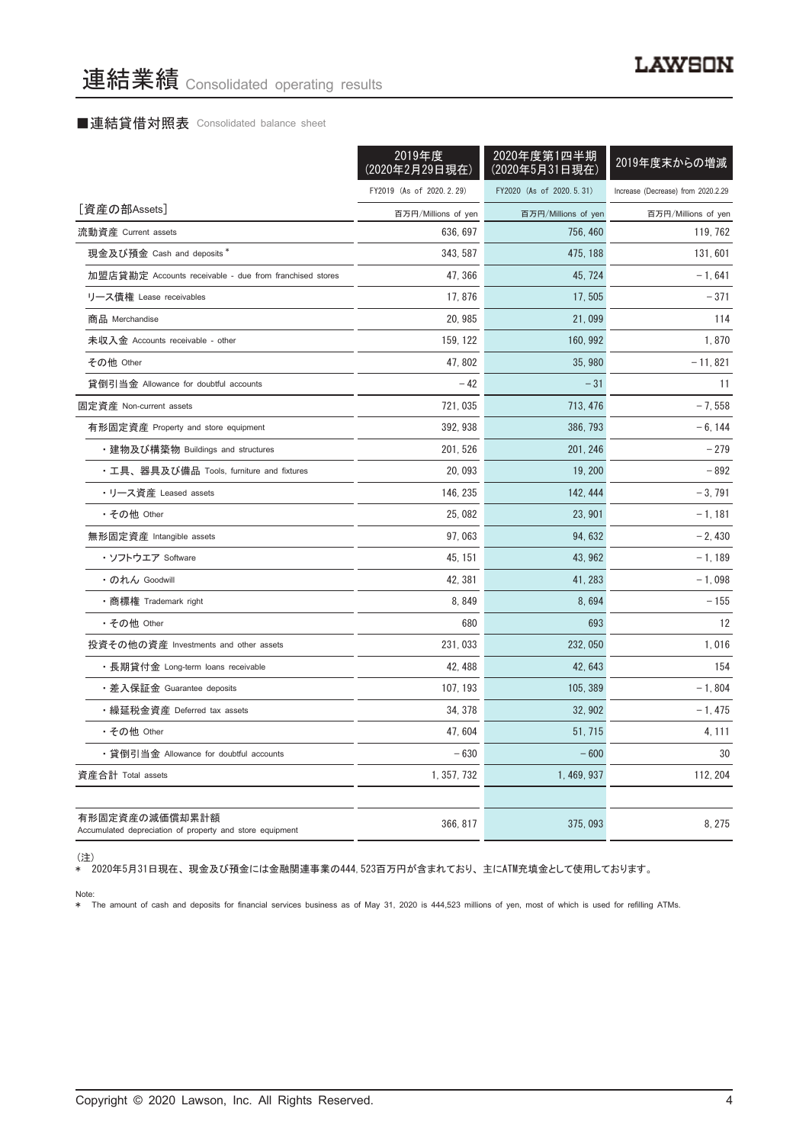#### ■連結貸借対照表 Consolidated balance sheet

|                                                                            | 2019年度<br>(2020年2月29日現在) | 2020年度第1四半期<br>(2020年5月31日現在) | 2019年度末からの増減                       |
|----------------------------------------------------------------------------|--------------------------|-------------------------------|------------------------------------|
|                                                                            | FY2019 (As of 2020.2.29) | FY2020 (As of 2020.5.31)      | Increase (Decrease) from 2020.2.29 |
| [資産の部Assets]                                                               | 百万円/Millions of yen      | 百万円/Millions of yen           | 百万円/Millions of yen                |
| 流動資産 Current assets                                                        | 636, 697                 | 756, 460                      | 119, 762                           |
| 現金及び預金 Cash and deposits *                                                 | 343, 587                 | 475, 188                      | 131, 601                           |
| 加盟店貸勘定 Accounts receivable - due from franchised stores                    | 47, 366                  | 45, 724                       | $-1,641$                           |
| リース債権 Lease receivables                                                    | 17,876                   | 17,505                        | $-371$                             |
| 商品 Merchandise                                                             | 20, 985                  | 21,099                        | 114                                |
| 未収入金 Accounts receivable - other                                           | 159, 122                 | 160, 992                      | 1,870                              |
| その他 Other                                                                  | 47.802                   | 35,980                        | $-11,821$                          |
| 貸倒引当金 Allowance for doubtful accounts                                      | $-42$                    | $-31$                         | 11                                 |
| 固定資産 Non-current assets                                                    | 721,035                  | 713, 476                      | $-7,558$                           |
| 有形固定資産 Property and store equipment                                        | 392.938                  | 386, 793                      | $-6, 144$                          |
| ・建物及び構築物 Buildings and structures                                          | 201, 526                 | 201, 246                      | $-279$                             |
| ・工具、器具及び備品 Tools, furniture and fixtures                                   | 20,093                   | 19, 200                       | $-892$                             |
| ・リース資産 Leased assets                                                       | 146, 235                 | 142, 444                      | $-3,791$                           |
| ・その他 Other                                                                 | 25,082                   | 23, 901                       | $-1,181$                           |
| 無形固定資産 Intangible assets                                                   | 97,063                   | 94, 632                       | $-2,430$                           |
| ・ソフトウエア Software                                                           | 45, 151                  | 43, 962                       | - 1, 189                           |
| ・のれん Goodwill                                                              | 42, 381                  | 41, 283                       | $-1,098$                           |
| •商標権 Trademark right                                                       | 8,849                    | 8,694                         | $-155$                             |
| ・その他 Other                                                                 | 680                      | 693                           | 12                                 |
| 投資その他の資産 Investments and other assets                                      | 231,033                  | 232, 050                      | 1,016                              |
| ・長期貸付金 Long-term loans receivable                                          | 42, 488                  | 42, 643                       | 154                                |
| ・差入保証金 Guarantee deposits                                                  | 107, 193                 | 105, 389                      | $-1,804$                           |
| ・繰延税金資産 Deferred tax assets                                                | 34, 378                  | 32, 902                       | $-1,475$                           |
| • その他 Other                                                                | 47.604                   | 51, 715                       | 4, 111                             |
| ・貸倒引当金 Allowance for doubtful accounts                                     | $-630$                   | $-600$                        | 30                                 |
| 資産合計 Total assets                                                          | 1, 357, 732              | 1, 469, 937                   | 112, 204                           |
|                                                                            |                          |                               |                                    |
| 有形固定資産の減価償却累計額<br>Accumulated depreciation of property and store equipment | 366, 817                 | 375,093                       | 8, 275                             |

(注)

\* 2020年5月31日現在、 現金及び預金には金融関連事業の444,523百万円が含まれており、 主にATM充填金として使用しております。

Note: \* The amount of cash and deposits for financial services business as of May 31, 2020 is 444,523 millions of yen, most of which is used for refilling ATMs.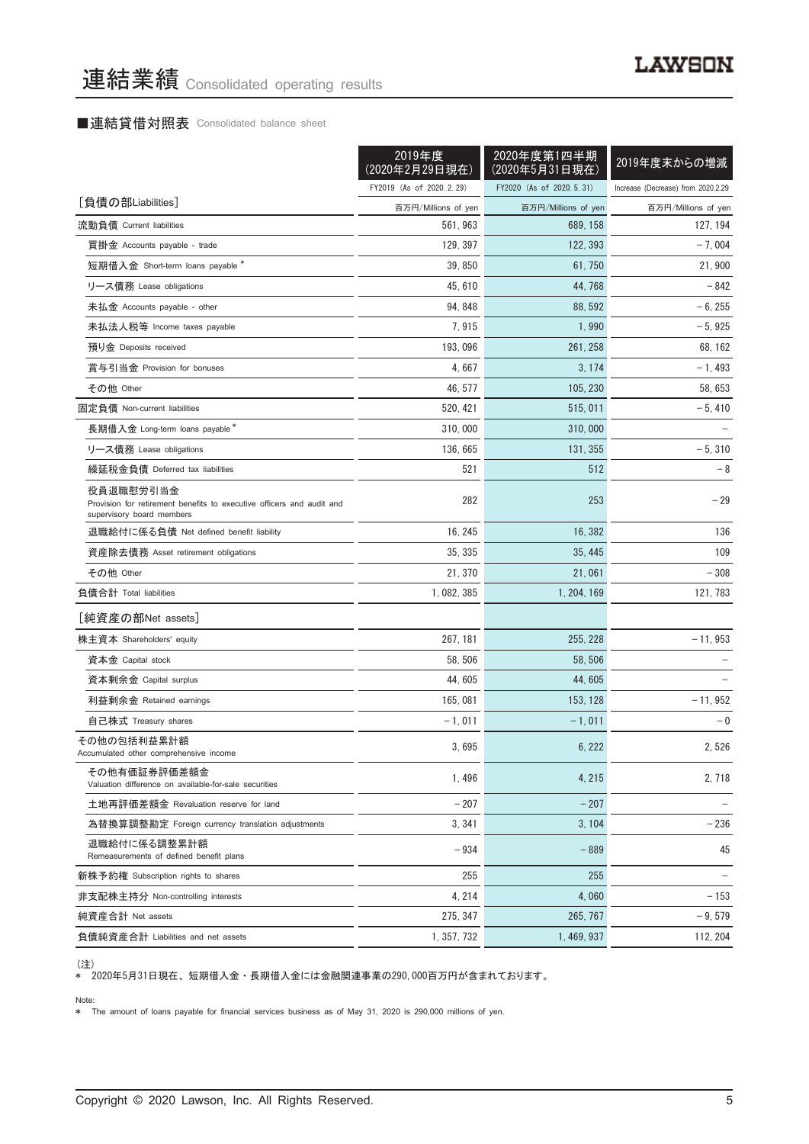## ■連結貸借対照表 Consolidated balance sheet

|                                                                                                                 | 2019年度<br>(2020年2月29日現在) | 2020年度第1四半期<br>(2020年5月31日現在) | 2019年度末からの増減                       |
|-----------------------------------------------------------------------------------------------------------------|--------------------------|-------------------------------|------------------------------------|
|                                                                                                                 | FY2019 (As of 2020.2.29) | FY2020 (As of 2020.5.31)      | Increase (Decrease) from 2020.2.29 |
| [負債の部Liabilities]                                                                                               | 百万円/Millions of yen      | 百万円/Millions of yen           | 百万円/Millions of yen                |
| 流動負債 Current liabilities                                                                                        | 561.963                  | 689, 158                      | 127, 194                           |
| 買掛金 Accounts payable - trade                                                                                    | 129, 397                 | 122, 393                      | $-7,004$                           |
| 短期借入金 Short-term loans payable *                                                                                | 39, 850                  | 61, 750                       | 21,900                             |
| リース債務 Lease obligations                                                                                         | 45, 610                  | 44, 768                       | $-842$                             |
| 未払金 Accounts payable - other                                                                                    | 94, 848                  | 88, 592                       | $-6, 255$                          |
| 未払法人税等 Income taxes payable                                                                                     | 7,915                    | 1,990                         | $-5,925$                           |
| 預り金 Deposits received                                                                                           | 193, 096                 | 261, 258                      | 68, 162                            |
| 賞与引当金 Provision for bonuses                                                                                     | 4,667                    | 3, 174                        | $-1,493$                           |
| その他 Other                                                                                                       | 46, 577                  | 105, 230                      | 58, 653                            |
| 固定負債 Non-current liabilities                                                                                    | 520, 421                 | 515, 011                      | $-5,410$                           |
| 長期借入金 Long-term loans payable*                                                                                  | 310,000                  | 310,000                       |                                    |
| リース債務 Lease obligations                                                                                         | 136, 665                 | 131, 355                      | $-5,310$                           |
| 繰延税金負債 Deferred tax liabilities                                                                                 | 521                      | 512                           | - 8                                |
| 役員退職慰労引当金<br>Provision for retirement benefits to executive officers and audit and<br>supervisory board members | 282                      | 253                           | $-29$                              |
| 退職給付に係る負債 Net defined benefit liability                                                                         | 16, 245                  | 16, 382                       | 136                                |
| 資産除去債務 Asset retirement obligations                                                                             | 35, 335                  | 35, 445                       | 109                                |
| その他 Other                                                                                                       | 21, 370                  | 21,061                        | $-308$                             |
| 負債合計 Total liabilities                                                                                          | 1,082,385                | 1, 204, 169                   | 121, 783                           |
| [純資産の部Net assets]                                                                                               |                          |                               |                                    |
| 株主資本 Shareholders' equity                                                                                       | 267, 181                 | 255, 228                      | $-11,953$                          |
| 資本金 Capital stock                                                                                               | 58, 506                  | 58, 506                       |                                    |
| 資本剰余金 Capital surplus                                                                                           | 44,605                   | 44,605                        |                                    |
| 利益剰余金 Retained earnings                                                                                         | 165,081                  | 153, 128                      | $-11,952$                          |
| 自己株式 Treasury shares                                                                                            | $-1.011$                 | $-1,011$                      | $-0$                               |
| その他の包括利益累計額<br>Accumulated other comprehensive income                                                           | 3,695                    | 6, 222                        | 2,526                              |
| その他有価証券評価差額金<br>Valuation difference on available-for-sale securities                                           | 1,496                    | 4, 215                        | 2,718                              |
| 土地再評価差額金 Revaluation reserve for land                                                                           | $-207$                   | $-207$                        |                                    |
| 為替換算調整勘定 Foreign currency translation adjustments                                                               | 3, 341                   | 3, 104                        | $-236$                             |
| 退職給付に係る調整累計額<br>Remeasurements of defined benefit plans                                                         | $-934$                   | $-889$                        | 45                                 |
| 新株予約権 Subscription rights to shares                                                                             | 255                      | 255                           |                                    |
| 非支配株主持分 Non-controlling interests                                                                               | 4, 214                   | 4,060                         | $-153$                             |
| 純資産合計 Net assets                                                                                                | 275, 347                 | 265, 767                      | $-9,579$                           |
| 負債純資産合計 Liabilities and net assets                                                                              | 1, 357, 732              | 1, 469, 937                   | 112, 204                           |

<sup>(</sup>注)

\* 2020年5月31日現在、 短期借入金 ・ 長期借入金には金融関連事業の290,000百万円が含まれております。

Note:

\* The amount of loans payable for financial services business as of May 31, 2020 is 290,000 millions of yen.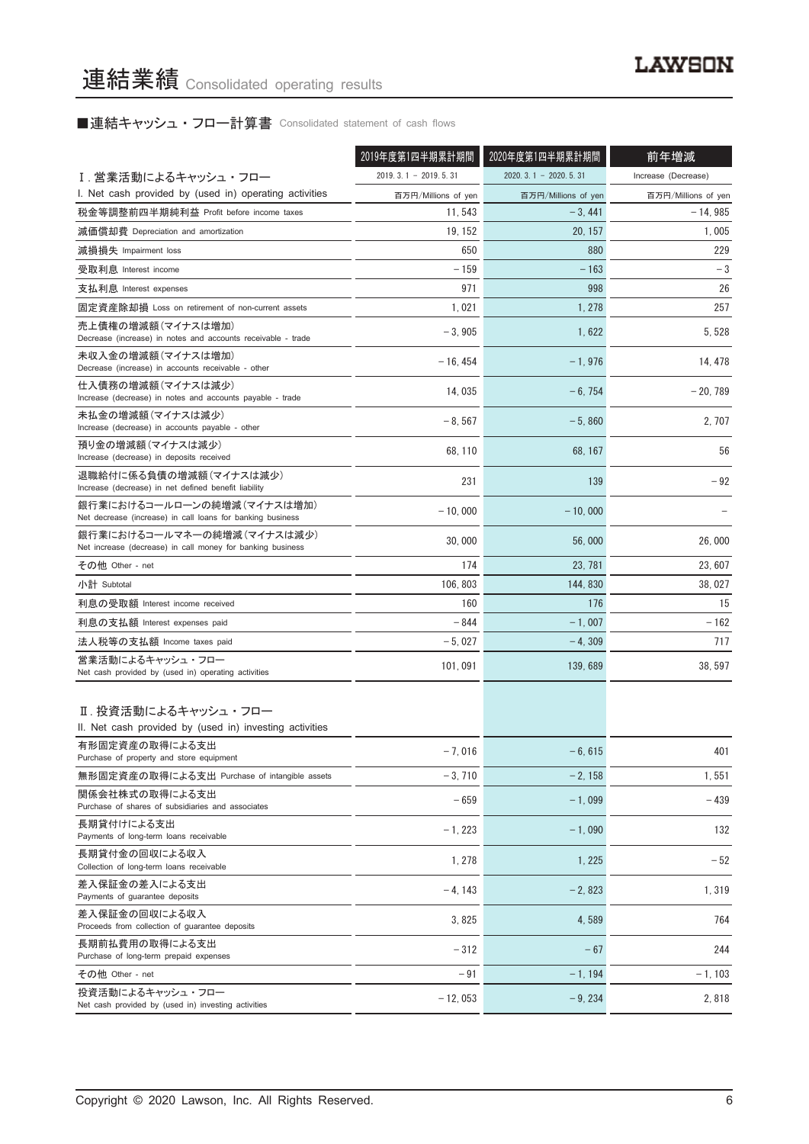# ■連結キャッシュ・フロー計算書 Consolidated statement of cash flows

|                                                                                          | 2019年度第1四半期累計期間        | 2020年度第1四半期累計期間        | 前年増減                |
|------------------------------------------------------------------------------------------|------------------------|------------------------|---------------------|
| Ⅰ. 営業活動によるキャッシュ・フロー                                                                      | $2019.3.1 - 2019.5.31$ | $2020.3.1 - 2020.5.31$ | Increase (Decrease) |
| I. Net cash provided by (used in) operating activities                                   | 百万円/Millions of yen    | 百万円/Millions of yen    | 百万円/Millions of yen |
| 税金等調整前四半期純利益 Profit before income taxes                                                  | 11, 543                | $-3,441$               | $-14,985$           |
| 減価償却費 Depreciation and amortization                                                      | 19, 152                | 20, 157                | 1,005               |
| 減損損失 Impairment loss                                                                     | 650                    | 880                    | 229                 |
| 受取利息 Interest income                                                                     | $-159$                 | $-163$                 | $-3$                |
| 支払利息 Interest expenses                                                                   | 971                    | 998                    | 26                  |
| 固定資産除却損 Loss on retirement of non-current assets                                         | 1,021                  | 1, 278                 | 257                 |
| 売上債権の増減額(マイナスは増加)<br>Decrease (increase) in notes and accounts receivable - trade        | $-3,905$               | 1,622                  | 5, 528              |
| 未収入金の増減額(マイナスは増加)<br>Decrease (increase) in accounts receivable - other                  | $-16, 454$             | $-1,976$               | 14, 478             |
| 仕入債務の増減額(マイナスは減少)<br>Increase (decrease) in notes and accounts payable - trade           | 14,035                 | $-6, 754$              | $-20,789$           |
| 未払金の増減額(マイナスは減少)<br>Increase (decrease) in accounts payable - other                      | $-8,567$               | $-5,860$               | 2.707               |
| 預り金の増減額(マイナスは減少)<br>Increase (decrease) in deposits received                             | 68, 110                | 68, 167                | 56                  |
| 退職給付に係る負債の増減額 (マイナスは減少)<br>Increase (decrease) in net defined benefit liability          | 231                    | 139                    | $-92$               |
| 銀行業におけるコールローンの純増減(マイナスは増加)<br>Net decrease (increase) in call loans for banking business | $-10,000$              | $-10,000$              |                     |
| 銀行業におけるコールマネーの純増減(マイナスは減少)<br>Net increase (decrease) in call money for banking business | 30,000                 | 56,000                 | 26,000              |
| その他 Other - net                                                                          | 174                    | 23, 781                | 23, 607             |
| 小計 Subtotal                                                                              | 106, 803               | 144, 830               | 38, 027             |
| 利息の受取額 Interest income received                                                          | 160                    | 176                    | 15                  |
| 利息の支払額 Interest expenses paid                                                            | $-844$                 | $-1,007$               | $-162$              |
| 法人税等の支払額 Income taxes paid                                                               | $-5,027$               | $-4,309$               | 717                 |
| 営業活動によるキャッシュ・フロー<br>Net cash provided by (used in) operating activities                  | 101, 091               | 139, 689               | 38, 597             |
| Ⅱ. 投資活動によるキャッシュ・フロー<br>II. Net cash provided by (used in) investing activities           |                        |                        |                     |
| 有形固定資産の取得による支出<br>Purchase of property and store equipment                               | $-7,016$               | $-6, 615$              | 401                 |
| 無形固定資産の取得による支出 Purchase of intangible assets                                             | $-3,710$               | $-2.158$               | 1,551               |
| 関係会社株式の取得による支出<br>Purchase of shares of subsidiaries and associates                      | $-659$                 | $-1,099$               | $-439$              |
| 長期貸付けによる支出<br>Payments of long-term loans receivable                                     | $-1, 223$              | $-1,090$               | 132                 |
| 長期貸付金の回収による収入<br>Collection of long-term loans receivable                                | 1, 278                 | 1,225                  | $-52$               |
| 差入保証金の差入による支出<br>Payments of guarantee deposits                                          | $-4.143$               | $-2,823$               | 1,319               |
| 差入保証金の回収による収入<br>Proceeds from collection of guarantee deposits                          | 3,825                  | 4,589                  | 764                 |
| 長期前払費用の取得による支出<br>Purchase of long-term prepaid expenses                                 | $-312$                 | $-67$                  | 244                 |
| その他 Other - net                                                                          | $-91$                  | $-1, 194$              | $-1, 103$           |
| 投資活動によるキャッシュ・フロー<br>Net cash provided by (used in) investing activities                  | $-12,053$              | $-9,234$               | 2,818               |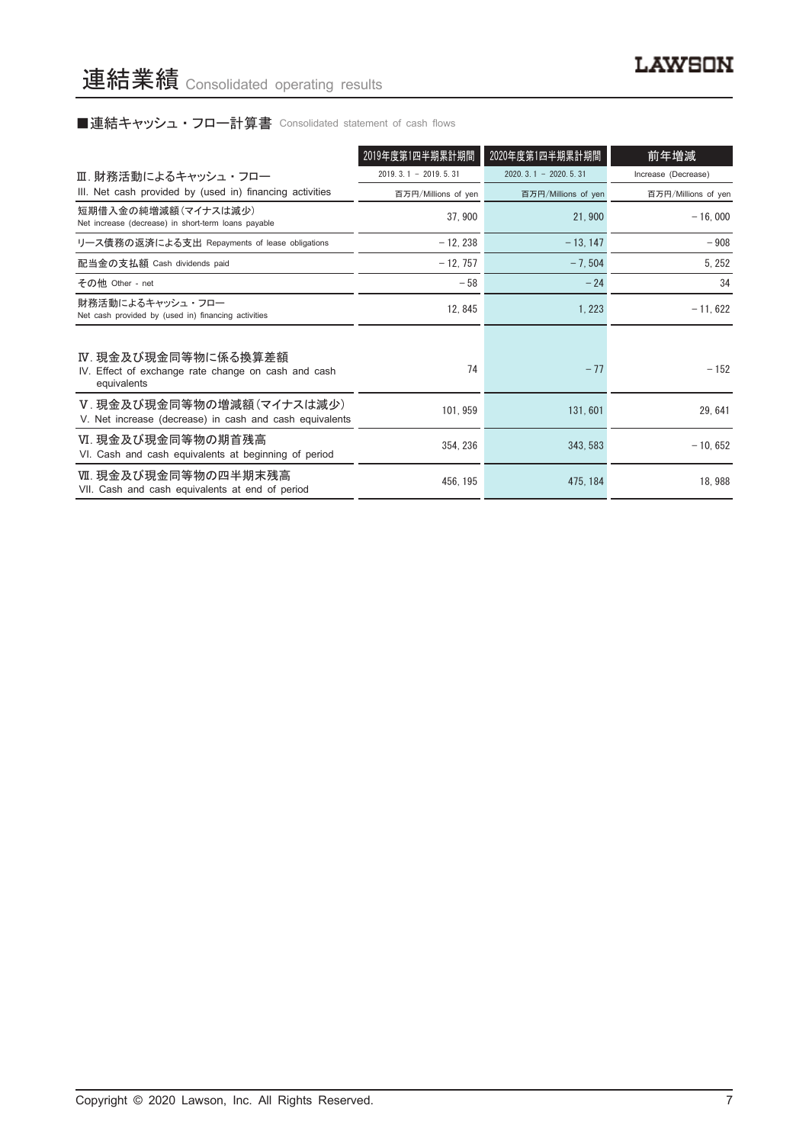# ■連結キャッシュ・フロー計算書 Consolidated statement of cash flows

|                                                                                           | 2019年度第1四半期累計期間        | 2020年度第1四半期累計期間        | 前年増減                |
|-------------------------------------------------------------------------------------------|------------------------|------------------------|---------------------|
| Ⅲ. 財務活動によるキャッシュ・フロー                                                                       | $2019.3.1 - 2019.5.31$ | $2020.3.1 - 2020.5.31$ | Increase (Decrease) |
| III. Net cash provided by (used in) financing activities                                  | 百万円/Millions of yen    | 百万円/Millions of yen    | 百万円/Millions of yen |
| 短期借入金の純増減額(マイナスは減少)<br>Net increase (decrease) in short-term loans payable                | 37,900                 | 21,900                 | $-16,000$           |
| リース債務の返済による支出 Repayments of lease obligations                                             | $-12.238$              | $-13, 147$             | $-908$              |
| 配当金の支払額 Cash dividends paid                                                               | $-12, 757$             | $-7,504$               | 5, 252              |
| その他 Other - net                                                                           | $-58$                  | $-24$                  | 34                  |
| 財務活動によるキャッシュ・フロー<br>Net cash provided by (used in) financing activities                   | 12, 845                | 1, 223                 | $-11,622$           |
| Ⅳ. 現金及び現金同等物に係る換算差額<br>IV. Effect of exchange rate change on cash and cash<br>equivalents | 74                     | $-77$                  | $-152$              |
| V.現金及び現金同等物の増減額(マイナスは減少)<br>V. Net increase (decrease) in cash and cash equivalents       | 101, 959               | 131,601                | 29,641              |
| Ⅵ. 現金及び現金同等物の期首残高<br>VI. Cash and cash equivalents at beginning of period                 | 354.236                | 343.583                | $-10,652$           |
| Ⅶ. 現金及び現金同等物の四半期末残高<br>VII. Cash and cash equivalents at end of period                    | 456, 195               | 475, 184               | 18,988              |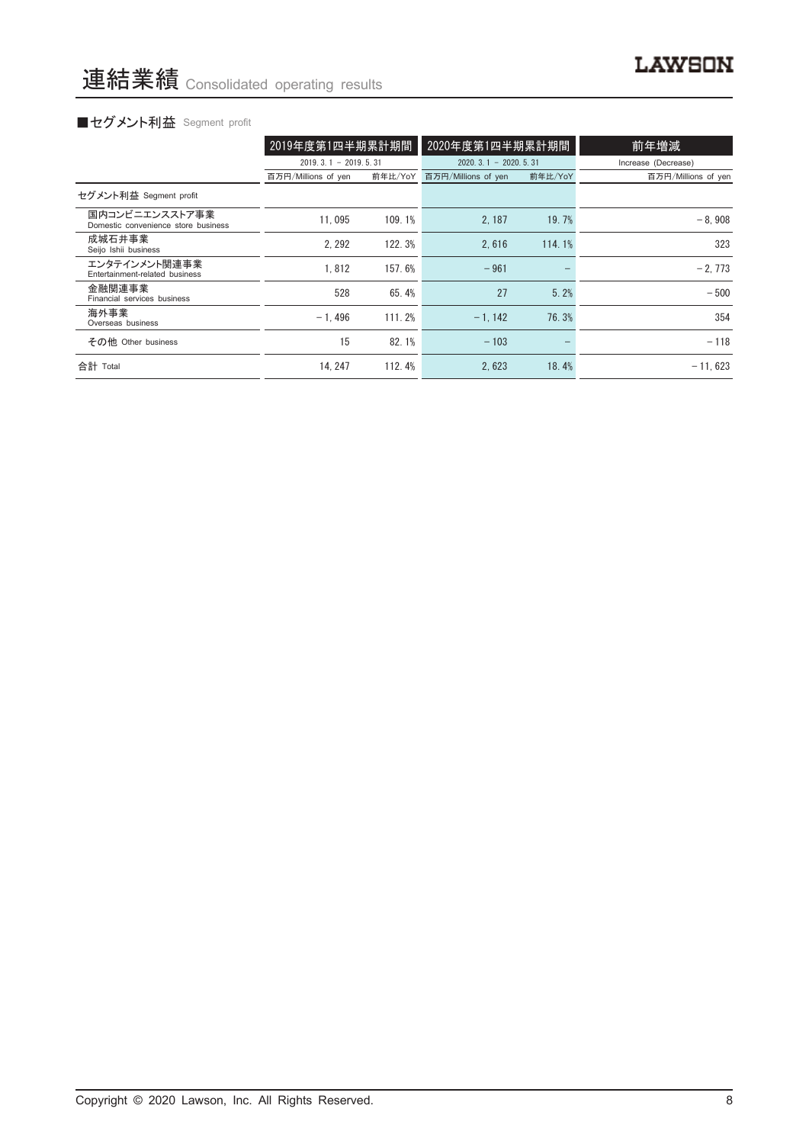# ■セグメント利益 Segment profit

|                                                       | 2019年度第1四半期累計期間        |         | 2020年度第1四半期累計期間            |         | 前年増減                |
|-------------------------------------------------------|------------------------|---------|----------------------------|---------|---------------------|
|                                                       | $2019.3.1 - 2019.5.31$ |         | $2020, 3, 1 - 2020, 5, 31$ |         | Increase (Decrease) |
|                                                       | 百万円/Millions of yen    | 前年比/YoY | 百万円/Millions of yen        | 前年比/YoY | 百万円/Millions of yen |
| セグメント利益 Segment profit                                |                        |         |                            |         |                     |
| 国内コンビニエンスストア事業<br>Domestic convenience store business | 11.095                 | 109.1%  | 2.187                      | 19.7%   | $-8.908$            |
| 成城石井事業<br>Seijo Ishii business                        | 2.292                  | 122.3%  | 2.616                      | 114.1%  | 323                 |
| エンタテインメント関連事業<br>Entertainment-related business       | 1.812                  | 157.6%  | $-961$                     |         | $-2,773$            |
| 金融関連事業<br>Financial services business                 | 528                    | 65.4%   | 27                         | 5.2%    | $-500$              |
| 海外事業<br>Overseas business                             | $-1.496$               | 111.2%  | $-1.142$                   | 76.3%   | 354                 |
| その他 Other business                                    | 15                     | 82.1%   | $-103$                     |         | $-118$              |
| 合計 Total                                              | 14.247                 | 112.4%  | 2.623                      | 18.4%   | $-11.623$           |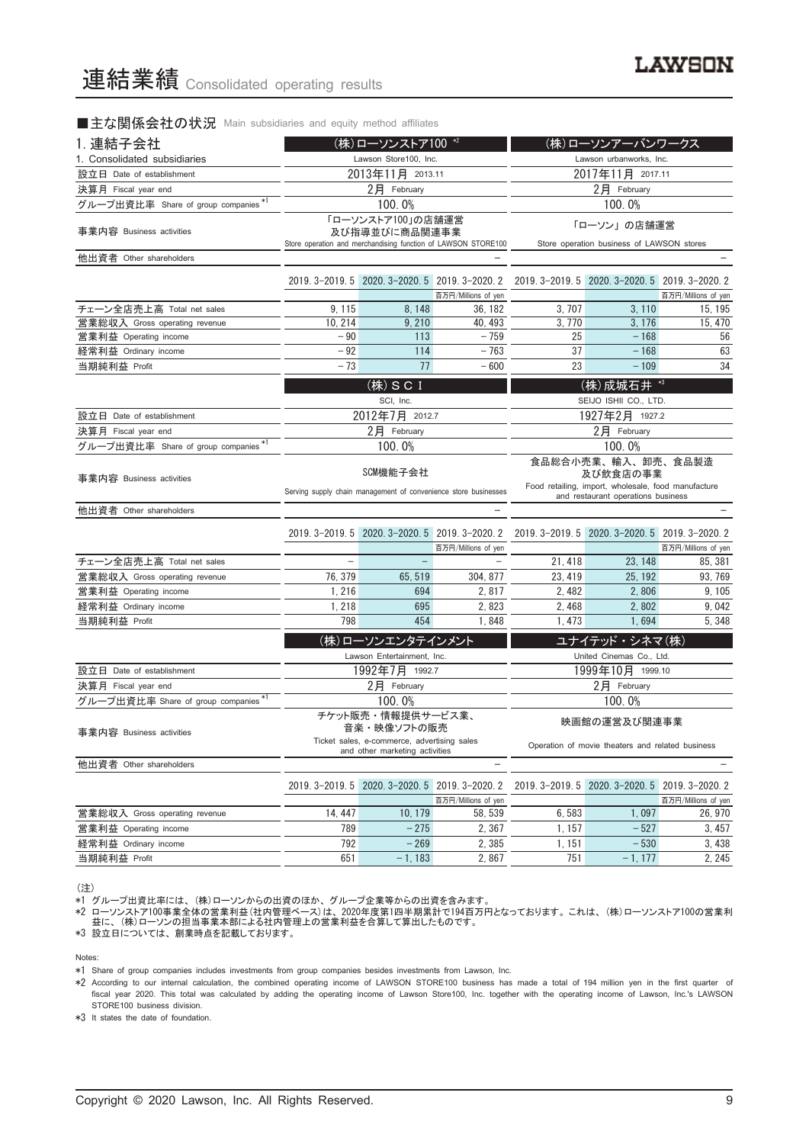#### ■主な関係会社の状況 Main subsidiaries and equity method affiliates

| 1. 連結子会社                                                   | (株)ローソンストア100 *2                                           |                                |                                                                 | (株)ローソンアーバンワークス                                                                           |                                                  |                     |
|------------------------------------------------------------|------------------------------------------------------------|--------------------------------|-----------------------------------------------------------------|-------------------------------------------------------------------------------------------|--------------------------------------------------|---------------------|
| 1. Consolidated subsidiaries                               | Lawson Store100, Inc.                                      |                                |                                                                 |                                                                                           | Lawson urbanworks, Inc.                          |                     |
| 設立日 Date of establishment                                  |                                                            | 2013年11月 2013.11               |                                                                 |                                                                                           | 2017年11月 2017.11                                 |                     |
| 決算月 Fiscal year end                                        |                                                            | 2月 February                    |                                                                 |                                                                                           | 2月 February                                      |                     |
| グループ出資比率 Share of group companies *1                       |                                                            | 100.0%                         |                                                                 |                                                                                           | 100.0%                                           |                     |
| 事業内容 Business activities                                   | 「ローソンストア100」の店舗運営<br>及び指導並びに商品関連事業                         |                                |                                                                 |                                                                                           | 「ローソン」の店舗運営                                      |                     |
|                                                            |                                                            |                                | Store operation and merchandising function of LAWSON STORE100   |                                                                                           | Store operation business of LAWSON stores        |                     |
| 他出資者 Other shareholders                                    |                                                            |                                |                                                                 |                                                                                           |                                                  |                     |
|                                                            |                                                            |                                | 2019. 3-2019. 5 2020. 3-2020. 5 2019. 3-2020. 2                 |                                                                                           | 2019. 3-2019. 5 2020. 3-2020. 5 2019. 3-2020. 2  |                     |
|                                                            |                                                            |                                | 百万円/Millions of yen                                             |                                                                                           |                                                  | 百万円/Millions of yen |
| チェーン全店売上高 Total net sales<br>営業総収入 Gross operating revenue | 9, 115<br>10, 214                                          | 8, 148<br>9,210                | 36.182<br>40, 493                                               | 3, 707<br>3.770                                                                           | 3, 110<br>3, 176                                 | 15, 195<br>15, 470  |
| 営業利益 Operating income                                      | $-90$                                                      | 113                            | $-759$                                                          | 25                                                                                        | $-168$                                           | 56                  |
| 経常利益 Ordinary income                                       | $-92$                                                      | 114                            | $-763$                                                          | 37                                                                                        | $-168$                                           | 63                  |
| 当期純利益 Profit                                               | $-73$                                                      | 77                             | $-600$                                                          | 23                                                                                        | $-109$                                           | 34                  |
|                                                            |                                                            |                                |                                                                 |                                                                                           |                                                  |                     |
|                                                            |                                                            | (株) S C I<br>SCI, Inc.         |                                                                 |                                                                                           | (株)成城石井 *3<br>SEIJO ISHII CO., LTD.              |                     |
| 設立日 Date of establishment                                  |                                                            | 2012年7月 2012.7                 |                                                                 |                                                                                           |                                                  |                     |
| 決算月 Fiscal year end                                        |                                                            | $2$ 月 February                 |                                                                 | 1927年2月 1927.2<br>$2$ 月 February                                                          |                                                  |                     |
| グループ出資比率 Share of group companies*'                        |                                                            | 100.0%                         |                                                                 | 100.0%                                                                                    |                                                  |                     |
|                                                            |                                                            |                                |                                                                 |                                                                                           |                                                  |                     |
| 事業内容 Business activities                                   | SCM機能子会社                                                   |                                |                                                                 | 食品総合小売業、輸入、卸売、食品製造<br>及び飲食店の事業                                                            |                                                  |                     |
|                                                            |                                                            |                                | Serving supply chain management of convenience store businesses | Food retailing, import, wholesale, food manufacture<br>and restaurant operations business |                                                  |                     |
| 他出資者 Other shareholders                                    |                                                            |                                |                                                                 |                                                                                           |                                                  |                     |
|                                                            |                                                            |                                |                                                                 |                                                                                           |                                                  |                     |
|                                                            |                                                            |                                | 2019. 3-2019. 5 2020. 3-2020. 5 2019. 3-2020. 2                 |                                                                                           | 2019. 3-2019. 5 2020. 3-2020. 5 2019. 3-2020. 2  |                     |
|                                                            |                                                            |                                | 百万円/Millions of yen                                             |                                                                                           |                                                  | 百万円/Millions of yen |
| チェーン全店売上高 Total net sales                                  |                                                            |                                |                                                                 | 21, 418                                                                                   | 23, 148                                          | 85, 381             |
| 営業総収入 Gross operating revenue                              | 76, 379                                                    | 65, 519                        | 304, 877                                                        | 23, 419                                                                                   | 25, 192                                          | 93, 769             |
| 営業利益 Operating income                                      | 1, 216                                                     | 694                            | 2,817                                                           | 2,482                                                                                     | 2,806                                            | 9, 105              |
| 経常利益 Ordinary income                                       | 1, 218                                                     | 695                            | 2,823                                                           | 2,468                                                                                     | 2,802                                            | 9,042               |
| 当期純利益 Profit                                               | 798                                                        | 454                            | 1,848                                                           | 1, 473                                                                                    | 1,694                                            | 5,348               |
|                                                            |                                                            | (株)ローソンエンタテインメント               |                                                                 |                                                                                           | ユナイテッド·シネマ(株)                                    |                     |
|                                                            |                                                            | Lawson Entertainment, Inc.     |                                                                 |                                                                                           | United Cinemas Co., Ltd.                         |                     |
| 設立日 Date of establishment                                  |                                                            | 1992年7月 1992.7                 |                                                                 |                                                                                           | 1999年10月 1999.10                                 |                     |
| 決算月 Fiscal year end                                        |                                                            | 2月 February                    |                                                                 |                                                                                           | 2月 February                                      |                     |
| グループ出資比率 Share of group companies*1                        |                                                            | 100.0%                         |                                                                 |                                                                                           | 100.0%                                           |                     |
|                                                            |                                                            | チケット販売・情報提供サービス業、              |                                                                 |                                                                                           | 映画館の運営及び関連事業                                     |                     |
| 事業内容 Business activities                                   | 音楽・映像ソフトの販売<br>Ticket sales, e-commerce, advertising saies |                                |                                                                 |                                                                                           |                                                  |                     |
|                                                            |                                                            | and other marketing activities |                                                                 |                                                                                           | Operation of movie theaters and related business |                     |
| 他出資者 Other shareholders                                    |                                                            |                                |                                                                 |                                                                                           |                                                  |                     |
|                                                            | $2019.3 - 2019.5$                                          |                                | 2020. 3-2020. 5 2019. 3-2020. 2                                 |                                                                                           | 2019. 3-2019. 5 2020. 3-2020. 5 2019. 3-2020. 2  |                     |
|                                                            |                                                            |                                | 百万円/Millions of yen                                             |                                                                                           |                                                  | 百万円/Millions of yen |
| 営業総収入 Gross operating revenue                              | 14, 447                                                    | 10, 179                        | 58, 539                                                         | 6,583                                                                                     | 1,097                                            | 26, 970             |
| 営業利益 Operating income                                      | 789                                                        | $-275$                         | 2,367                                                           | 1, 157                                                                                    | $-527$                                           | 3,457               |
| 経常利益 Ordinary income                                       | 792                                                        | $-269$                         | 2.385                                                           | 1, 151                                                                                    | $-530$                                           | 3,438               |

(注)

\*1 グループ出資比率には、 (株)ローソンからの出資のほか、 グループ企業等からの出資を含みます。

\*2 ローソンストア100事業全体の営業利益(社内管理ベース)は、 2020年度第1四半期累計で194百万円となっております。 これは、 (株)ローソンストア100の営業利 益に、 (株)ローソンの担当事業本部による社内管理上の営業利益を合算して算出したものです。

当期純利益 Profit 651 –1,183 2,867 751 –1,177 2,245

\*3 設立日については、 創業時点を記載しております。

Notes:

\*1 Share of group companies includes investments from group companies besides investments from Lawson, Inc.

\*2 According to our internal calculation, the combined operating income of LAWSON STORE100 business has made a total of 194 million yen in the first quarter of fiscal year 2020. This total was calculated by adding the operating income of Lawson Store100, Inc. together with the operating income of Lawson, Inc.'s LAWSON STORE100 business division.

\*3 It states the date of foundation.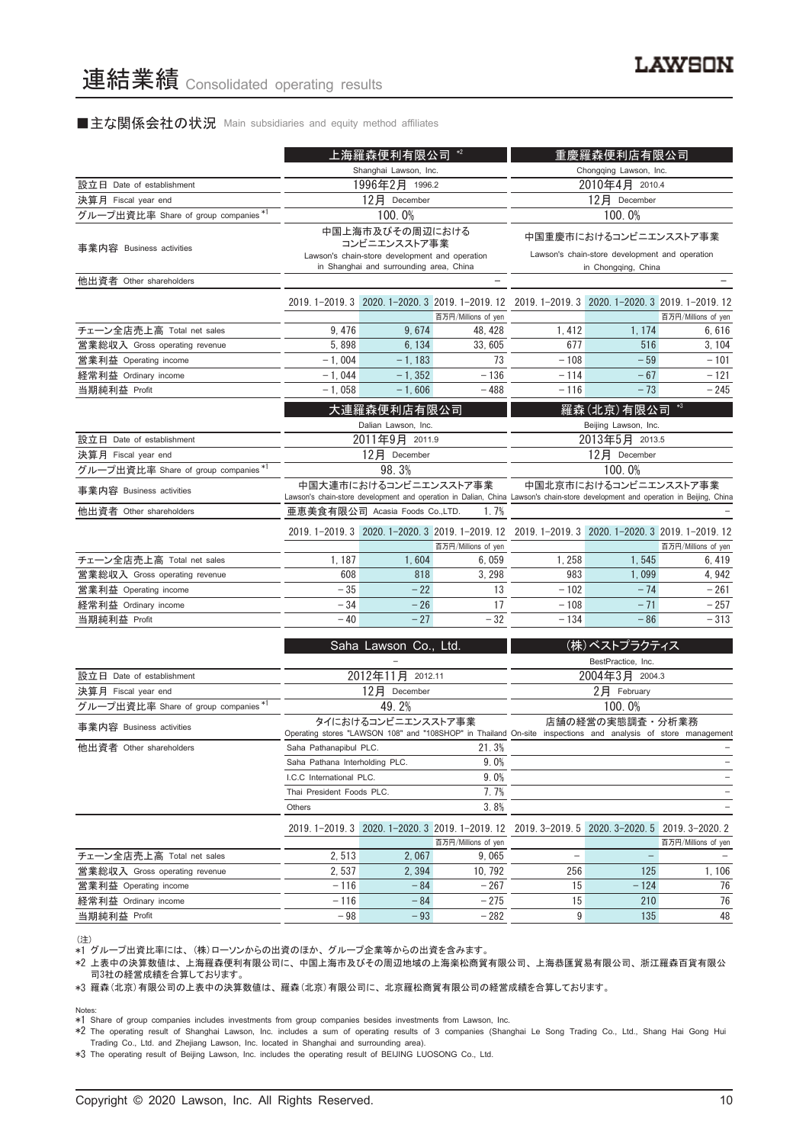#### ■主な関係会社の状況 Main subsidiaries and equity method affiliates

|                                      | 上海羅森便利有限公司                                                                        |                                         |                                                                                                                                  | 重慶羅森便利店有限公司                                      |                                                                         |                          |  |
|--------------------------------------|-----------------------------------------------------------------------------------|-----------------------------------------|----------------------------------------------------------------------------------------------------------------------------------|--------------------------------------------------|-------------------------------------------------------------------------|--------------------------|--|
|                                      |                                                                                   | Shanghai Lawson, Inc.                   |                                                                                                                                  |                                                  | Chongqing Lawson, Inc.                                                  |                          |  |
| 設立日 Date of establishment            |                                                                                   | 1996年2月 1996.2                          |                                                                                                                                  | 2010年4月 2010.4                                   |                                                                         |                          |  |
| 決算月 Fiscal year end                  |                                                                                   | 12月 December                            |                                                                                                                                  | 12月 December                                     |                                                                         |                          |  |
| グループ出資比率 Share of group companies *1 |                                                                                   | 100.0%                                  |                                                                                                                                  |                                                  | 100.0%                                                                  |                          |  |
| 事業内容 Business activities             | 中国上海市及びその周辺における<br>コンビニエンスストア事業<br>Lawson's chain-store development and operation |                                         |                                                                                                                                  |                                                  | 中国重慶市におけるコンビニエンスストア事業<br>Lawson's chain-store development and operation |                          |  |
| 他出資者 Other shareholders              |                                                                                   | in Shanghai and surrounding area, China |                                                                                                                                  |                                                  | in Chongqing, China                                                     |                          |  |
|                                      |                                                                                   |                                         |                                                                                                                                  |                                                  |                                                                         |                          |  |
|                                      |                                                                                   |                                         | 2019. 1-2019. 3 2020. 1-2020. 3 2019. 1-2019. 12                                                                                 | 2019. 1-2019. 3 2020. 1-2020. 3 2019. 1-2019. 12 |                                                                         |                          |  |
|                                      |                                                                                   |                                         | 百万円/Millions of yen                                                                                                              |                                                  |                                                                         | 百万円/Millions of yen      |  |
| チェーン全店売上高 Total net sales            | 9, 476                                                                            | 9,674                                   | 48.428                                                                                                                           | 1, 412                                           | 1, 174                                                                  | 6,616                    |  |
| 営業総収入 Gross operating revenue        | 5,898                                                                             | 6, 134                                  | 33, 605                                                                                                                          | 677                                              | 516                                                                     | 3, 104                   |  |
| 営業利益 Operating income                | $-1,004$                                                                          | $-1, 183$                               | 73                                                                                                                               | $-108$                                           | $-59$                                                                   | $-101$                   |  |
| 経常利益 Ordinary income                 | $-1,044$                                                                          | $-1, 352$                               | $-136$                                                                                                                           | $-114$                                           | $-67$                                                                   | $-121$                   |  |
| 当期純利益 Profit                         | $-1,058$                                                                          | $-1,606$                                | $-488$                                                                                                                           | $-116$                                           | $-73$                                                                   | $-245$                   |  |
|                                      |                                                                                   | 大連羅森便利店有限公司                             |                                                                                                                                  | 羅森(北京)有限公司                                       |                                                                         |                          |  |
|                                      | Dalian Lawson, Inc.                                                               |                                         |                                                                                                                                  |                                                  | Beijing Lawson, Inc.                                                    |                          |  |
| 設立日 Date of establishment            | 2011年9月 2011.9                                                                    |                                         |                                                                                                                                  |                                                  | 2013年5月 2013.5                                                          |                          |  |
| 決算月 Fiscal year end                  |                                                                                   | 12月 December                            |                                                                                                                                  |                                                  | 12月 December                                                            |                          |  |
| グループ出資比率 Share of group companies *1 | 98.3%                                                                             |                                         |                                                                                                                                  |                                                  | 100.0%                                                                  |                          |  |
| 事業内容 Business activities             |                                                                                   | 中国大連市におけるコンビニエンスストア事業                   | Lawson's chain-store development and operation in Dalian, China Lawson's chain-store development and operation in Beijing, China |                                                  | 中国北京市におけるコンビニエンスストア事業                                                   |                          |  |
| 他出資者 Other shareholders              |                                                                                   | 亜恵美食有限公司 Acasia Foods Co.,LTD.          | 1.7%                                                                                                                             |                                                  |                                                                         |                          |  |
|                                      |                                                                                   |                                         | 2019.1-2019.3 2020.1-2020.3 2019.1-2019.12 2019.1-2019.3 2020.1-2020.3 2019.1-2019.12                                            |                                                  |                                                                         |                          |  |
|                                      |                                                                                   |                                         | 百万円/Millions of yen                                                                                                              |                                                  |                                                                         | 百万円/Millions of yen      |  |
| チェーン全店売上高 Total net sales            | 1, 187                                                                            | 1.604                                   | 6.059                                                                                                                            | 1,258                                            | 1.545                                                                   | 6, 419                   |  |
| 営業総収入 Gross operating revenue        | 608                                                                               | 818                                     | 3.298                                                                                                                            | 983                                              | 1.099                                                                   | 4.942                    |  |
| 営業利益 Operating income                | $-35$                                                                             | $-22$                                   | 13                                                                                                                               | $-102$                                           | $-74$                                                                   | $-261$                   |  |
| 経常利益 Ordinary income                 | $-34$                                                                             | $-26$                                   | 17                                                                                                                               | $-108$                                           | $-71$                                                                   | $-257$                   |  |
| 当期純利益 Profit                         | $-40$                                                                             | $-27$                                   | $-32$                                                                                                                            | $-134$                                           | $-86$                                                                   | $-313$                   |  |
|                                      |                                                                                   | Saha Lawson Co., Ltd.                   |                                                                                                                                  |                                                  | (株)ベストプラクティス                                                            |                          |  |
|                                      |                                                                                   |                                         |                                                                                                                                  |                                                  | BestPractice, Inc.                                                      |                          |  |
| 設立日 Date of establishment            |                                                                                   | 2012年11月 2012.11                        |                                                                                                                                  |                                                  | 2004年3月 2004.3                                                          |                          |  |
| 決算月 Fiscal year end                  |                                                                                   | 12月 December                            |                                                                                                                                  |                                                  | $2$ 月 February                                                          |                          |  |
| グループ出資比率 Share of group companies *1 |                                                                                   | 49.2%                                   |                                                                                                                                  |                                                  | 100.0%                                                                  |                          |  |
| 事業内容 Business activities             |                                                                                   | タイにおけるコンビニエンスストア事業                      | Operating stores "LAWSON 108" and "108SHOP" in Thailand On-site inspections and analysis of store management                     |                                                  | 店舗の経営の実態調査・分析業務                                                         |                          |  |
| 他出資者 Other shareholders              | Saha Pathanapibul PLC.                                                            |                                         | 21.3%                                                                                                                            |                                                  |                                                                         |                          |  |
|                                      | Saha Pathana Interholding PLC.                                                    |                                         | 9.0%                                                                                                                             |                                                  |                                                                         |                          |  |
|                                      | I.C.C International PLC.                                                          |                                         | 9.0%                                                                                                                             |                                                  |                                                                         | $\overline{\phantom{0}}$ |  |
|                                      | Thai President Foods PLC.                                                         |                                         | 7.7%                                                                                                                             |                                                  |                                                                         | ÷,                       |  |

|                               | 3.8%<br>Others |       |                                                                                      |     |        |                     |
|-------------------------------|----------------|-------|--------------------------------------------------------------------------------------|-----|--------|---------------------|
|                               |                |       | 2019.1-2019.3 2020.1-2020.3 2019.1-2019.12 2019.3-2019.5 2020.3-2020.5 2019.3-2020.2 |     |        |                     |
|                               |                |       | 百万円/Millions of yen                                                                  |     |        | 百万円/Millions of yen |
| チェーン全店売上高 Total net sales     | 2.513          | 2.067 | 9.065                                                                                |     |        |                     |
| 営業総収入 Gross operating revenue | 2.537          | 2.394 | 10.792                                                                               | 256 | 125    | 1.106               |
| 営業利益 Operating income         | $-116$         | $-84$ | $-267$                                                                               | 15  | $-124$ | 76                  |
| 経常利益 Ordinary income          | $-116$         | $-84$ | $-275$                                                                               | 15  | 210    | 76                  |
| 当期純利益 Profit                  | $-98$          | $-93$ | $-282$                                                                               |     | 135    | 48                  |

(注) \*1 グループ出資比率には、 (株)ローソンからの出資のほか、 グループ企業等からの出資を含みます。

\*2 上表中の決算数値は、 上海羅森便利有限公司に、 中国上海市及びその周辺地域の上海楽松商貿有限公司、 上海恭匯貿易有限公司、 浙江羅森百貨有限公 司3社の経営成績を合算しております。

\*3 羅森(北京)有限公司の上表中の決算数値は、 羅森(北京)有限公司に、 北京羅松商貿有限公司の経営成績を合算しております。

Notes: \*1 Share of group companies includes investments from group companies besides investments from Lawson, Inc.

\*2 The operating result of Shanghai Lawson, Inc. includes a sum of operating results of 3 companies (Shanghai Le Song Trading Co., Ltd., Shang Hai Gong Hui Trading Co., Ltd. and Zhejiang Lawson, Inc. located in Shanghai and surrounding area).

\*3 The operating result of Beijing Lawson, Inc. includes the operating result of BEIJING LUOSONG Co., Ltd.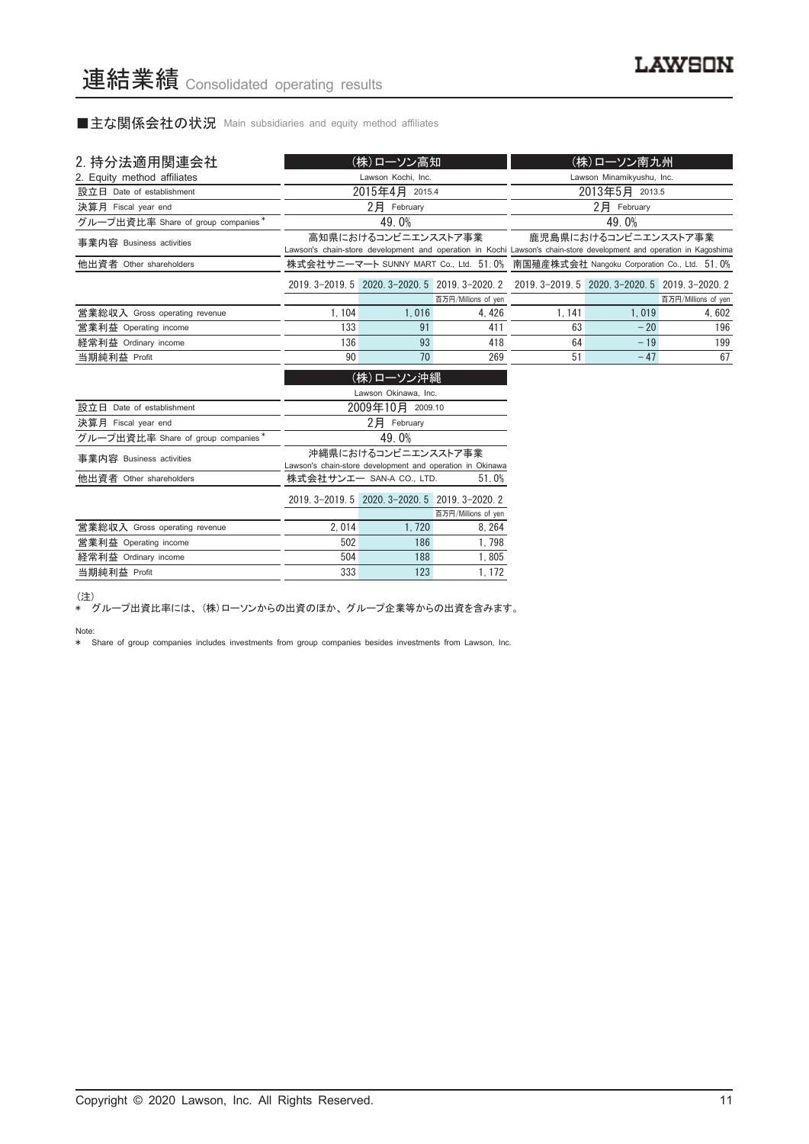■主な関係会社の状況 Main subsidiaries and equity method affiliates

| 2. 持分法適用関連会社                       |        | (株)ローソン高知                |                                                           |                                                                                                                     | (株)ローソン南九州                |                     |
|------------------------------------|--------|--------------------------|-----------------------------------------------------------|---------------------------------------------------------------------------------------------------------------------|---------------------------|---------------------|
| 2. Equity method affiliates        |        | Lawson Kochi, Inc.       |                                                           |                                                                                                                     | Lawson Minamikyushu, Inc. |                     |
| 設立日 Date of establishment          |        | 2015年4月 2015.4           |                                                           |                                                                                                                     | 2013年5月 2013.5            |                     |
| 決算月 Fiscal year end                |        | $2$ 月 February           |                                                           |                                                                                                                     | $2$ 月 February            |                     |
| グループ出資比率 Share of group companies* |        | 49.0%                    |                                                           |                                                                                                                     | 49.0%                     |                     |
| 事業内容 Business activities           |        | 高知県におけるコンビニエンスストア事業      |                                                           | Lawson's chain-store development and operation in Kochi Lawson's chain-store development and operation in Kagoshima | 鹿児島県におけるコンビニエンスストア事業      |                     |
| 他出資者 Other shareholders            |        |                          |                                                           | 株式会社サニーマート SUNNY MART Co., Ltd. 51.0% 南国殖産株式会社 Nangoku Corporation Co., Ltd. 51.0%                                  |                           |                     |
|                                    |        |                          |                                                           | 2019. 3-2019. 5 2020. 3-2020. 5 2019. 3-2020. 2 2019. 3-2019. 5 2020. 3-2020. 5 2019. 3-2020. 2                     |                           |                     |
|                                    |        |                          | 百万円/Millions of yen                                       |                                                                                                                     |                           | 百万円/Millions of yen |
| 営業総収入 Gross operating revenue      | 1, 104 | 1,016                    | 4,426                                                     | 1, 141                                                                                                              | 1,019                     | 4,602               |
| 営業利益 Operating income              | 133    | 91                       | 411                                                       | 63                                                                                                                  | $-20$                     | 196                 |
| 経常利益 Ordinary income               | 136    | 93                       | 418                                                       | 64                                                                                                                  | $-19$                     | 199                 |
| 当期純利益 Profit                       | 90     | 70                       | 269                                                       | 51                                                                                                                  | $-47$                     | 67                  |
|                                    |        | (株)ローソン沖縄                |                                                           |                                                                                                                     |                           |                     |
|                                    |        | Lawson Okinawa, Inc.     |                                                           |                                                                                                                     |                           |                     |
| 設立日 Date of establishment          |        | 2009年10月 2009.10         |                                                           |                                                                                                                     |                           |                     |
| 決算月 Fiscal year end                |        | $2$ 月 February           |                                                           |                                                                                                                     |                           |                     |
| グループ出資比率 Share of group companies* |        | 49.0%                    |                                                           |                                                                                                                     |                           |                     |
| 事業内容 Business activities           |        | 沖縄県におけるコンビニエンスストア事業      | Lawson's chain-store development and operation in Okinawa |                                                                                                                     |                           |                     |
| 他出資者 Other shareholders            |        | 株式会社サンエー SAN-A CO., LTD. | 51.0%                                                     |                                                                                                                     |                           |                     |

|                               |       | 2019. 3-2019. 5 2020. 3-2020. 5 2019. 3-2020. 2 |                     |
|-------------------------------|-------|-------------------------------------------------|---------------------|
|                               |       |                                                 | 百万円/Millions of yen |
| 営業総収入 Gross operating revenue | 2.014 | 1.720                                           | 8.264               |
| 営業利益 Operating income         | 502   | 186                                             | 1.798               |
| 経常利益 Ordinary income          | 504   | 188                                             | 1.805               |
| 当期純利益 Profit                  | 333   | 123                                             | 1.172               |
|                               |       |                                                 |                     |

(注)

\* グループ出資比率には、 (株)ローソンからの出資のほか、 グループ企業等からの出資を含みます。

Note: \* Share of group companies includes investments from group companies besides investments from Lawson, Inc.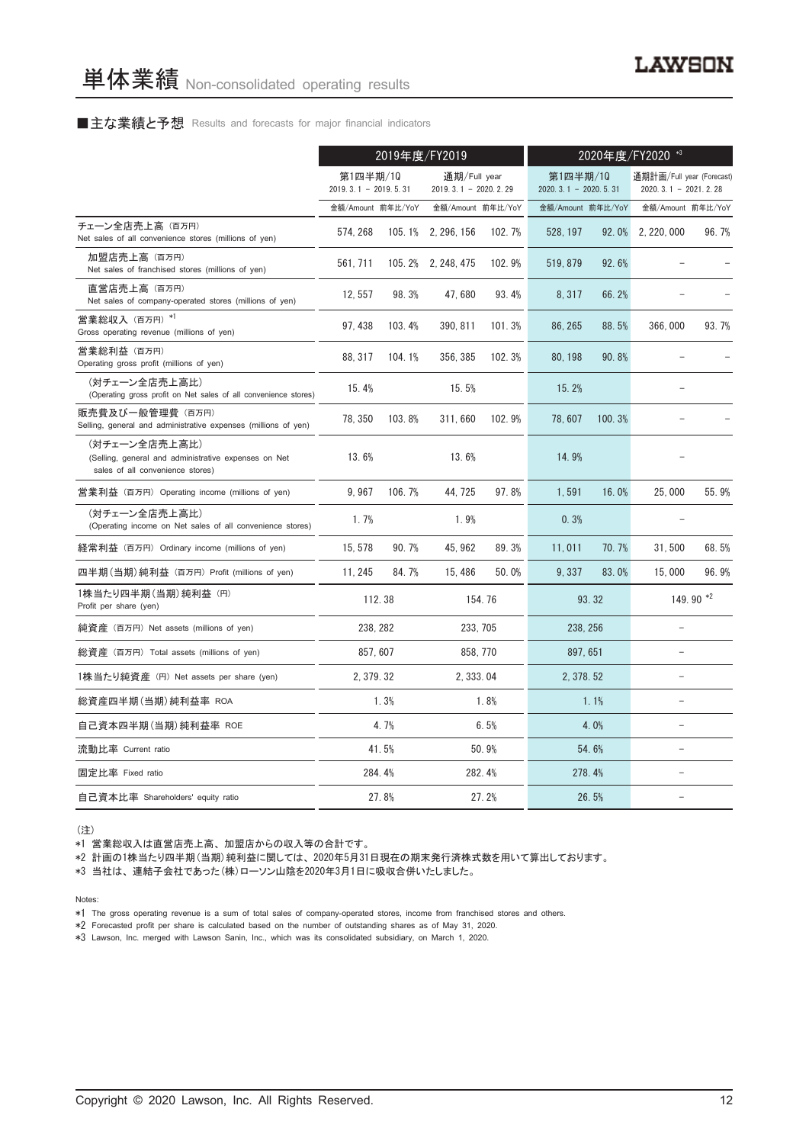#### ■主な業績と予想 Results and forecasts for major financial indicators

|                                                                                                           | 2019年度/FY2019                      |        |                                          |        | 2020年度/FY2020 *3                   |        |                                                     |                   |
|-----------------------------------------------------------------------------------------------------------|------------------------------------|--------|------------------------------------------|--------|------------------------------------|--------|-----------------------------------------------------|-------------------|
|                                                                                                           | 第1四半期/10<br>$2019.3.1 - 2019.5.31$ |        | 通期/Full year<br>2019. 3. 1 - 2020. 2. 29 |        | 第1四半期/10<br>$2020.3.1 - 2020.5.31$ |        | 通期計画/Full year (Forecast)<br>$2020.3.1 - 2021.2.28$ |                   |
|                                                                                                           | 金額/Amount 前年比/YoY                  |        | 金額/Amount 前年比/YoY                        |        | 金額/Amount 前年比/YoY                  |        |                                                     | 金額/Amount 前年比/YoY |
| チェーン全店売上高 (百万円)<br>Net sales of all convenience stores (millions of yen)                                  | 574, 268                           |        | 105.1% 2, 296, 156                       | 102.7% | 528, 197                           | 92.0%  | 2, 220, 000                                         | 96.7%             |
| 加盟店売上高 (百万円)<br>Net sales of franchised stores (millions of yen)                                          | 561, 711                           |        | 105.2% 2, 248, 475                       | 102.9% | 519, 879                           | 92.6%  |                                                     |                   |
| 直営店売上高(百万円)<br>Net sales of company-operated stores (millions of yen)                                     | 12, 557                            | 98.3%  | 47,680                                   | 93.4%  | 8,317                              | 66.2%  |                                                     |                   |
| 営業総収入 (百万円) *1<br>Gross operating revenue (millions of yen)                                               | 97, 438                            | 103.4% | 390, 811                                 | 101.3% | 86, 265                            | 88.5%  | 366,000                                             | 93.7%             |
| 営業総利益 (百万円)<br>Operating gross profit (millions of yen)                                                   | 88, 317                            | 104.1% | 356, 385                                 | 102.3% | 80, 198                            | 90.8%  |                                                     |                   |
| (対チェーン全店売上高比)<br>(Operating gross profit on Net sales of all convenience stores)                          | 15.4%                              |        | 15.5%                                    |        | 15.2%                              |        |                                                     |                   |
| 販売費及び一般管理費 (百万円)<br>Selling, general and administrative expenses (millions of yen)                        | 78, 350                            | 103.8% | 311,660                                  | 102.9% | 78.607                             | 100.3% |                                                     |                   |
| (対チェーン全店売上高比)<br>(Selling, general and administrative expenses on Net<br>sales of all convenience stores) | 13.6%                              |        | 13.6%                                    |        | 14.9%                              |        |                                                     |                   |
| 営業利益 (百万円) Operating income (millions of yen)                                                             | 9,967                              | 106.7% | 44, 725                                  | 97.8%  | 1,591                              | 16.0%  | 25,000                                              | 55.9%             |
| (対チェーン全店売上高比)<br>(Operating income on Net sales of all convenience stores)                                | 1.7%                               |        | 1.9%                                     |        | 0.3%                               |        |                                                     |                   |
| 経常利益 (百万円) Ordinary income (millions of yen)                                                              | 15, 578                            | 90.7%  | 45, 962                                  | 89.3%  | 11,011                             | 70.7%  | 31,500                                              | 68.5%             |
| 四半期(当期)純利益 (百万円) Profit (millions of yen)                                                                 | 11, 245                            | 84.7%  | 15,486                                   | 50.0%  | 9.337                              | 83.0%  | 15,000                                              | 96.9%             |
| 1株当たり四半期 (当期) 純利益 (円)<br>Profit per share (yen)                                                           |                                    | 112.38 |                                          | 154.76 |                                    | 93.32  |                                                     | 149.90 *2         |
| 純資産 (百万円) Net assets (millions of yen)                                                                    | 238, 282                           |        | 233, 705                                 |        | 238, 256                           |        | $\equiv$                                            |                   |
| 総資産 (百万円) Total assets (millions of yen)                                                                  | 857.607                            |        | 858, 770                                 |        | 897, 651                           |        | $\equiv$                                            |                   |
| 1株当たり純資産 (円) Net assets per share (yen)                                                                   | 2, 379. 32                         |        | 2, 333, 04                               |        | 2, 378, 52                         |        | $\overline{\phantom{0}}$                            |                   |
| 総資産四半期(当期)純利益率 ROA                                                                                        |                                    | 1.3%   |                                          | 1.8%   |                                    | 1.1%   |                                                     |                   |
| 自己資本四半期(当期)純利益率 ROE                                                                                       |                                    | 4.7%   |                                          | 6.5%   |                                    | 4.0%   | $\equiv$                                            |                   |
| 流動比率 Current ratio                                                                                        |                                    | 41.5%  |                                          | 50.9%  |                                    | 54.6%  | $\equiv$                                            |                   |
| 固定比率 Fixed ratio                                                                                          |                                    | 284.4% |                                          | 282.4% | 278.4%                             |        |                                                     |                   |
| 自己資本比率 Shareholders' equity ratio                                                                         |                                    | 27.8%  |                                          | 27.2%  |                                    | 26.5%  |                                                     |                   |

(注)

\*1 営業総収入は直営店売上高、 加盟店からの収入等の合計です。

\*2 計画の1株当たり四半期(当期)純利益に関しては、 2020年5月31日現在の期末発行済株式数を用いて算出しております。

\*3 当社は、 連結子会社であった(株)ローソン山陰を2020年3月1日に吸収合併いたしました。

Notes:

\*1 The gross operating revenue is a sum of total sales of company-operated stores, income from franchised stores and others.

\*2 Forecasted profit per share is calculated based on the number of outstanding shares as of May 31, 2020.

\*3 Lawson, Inc. merged with Lawson Sanin, Inc., which was its consolidated subsidiary, on March 1, 2020.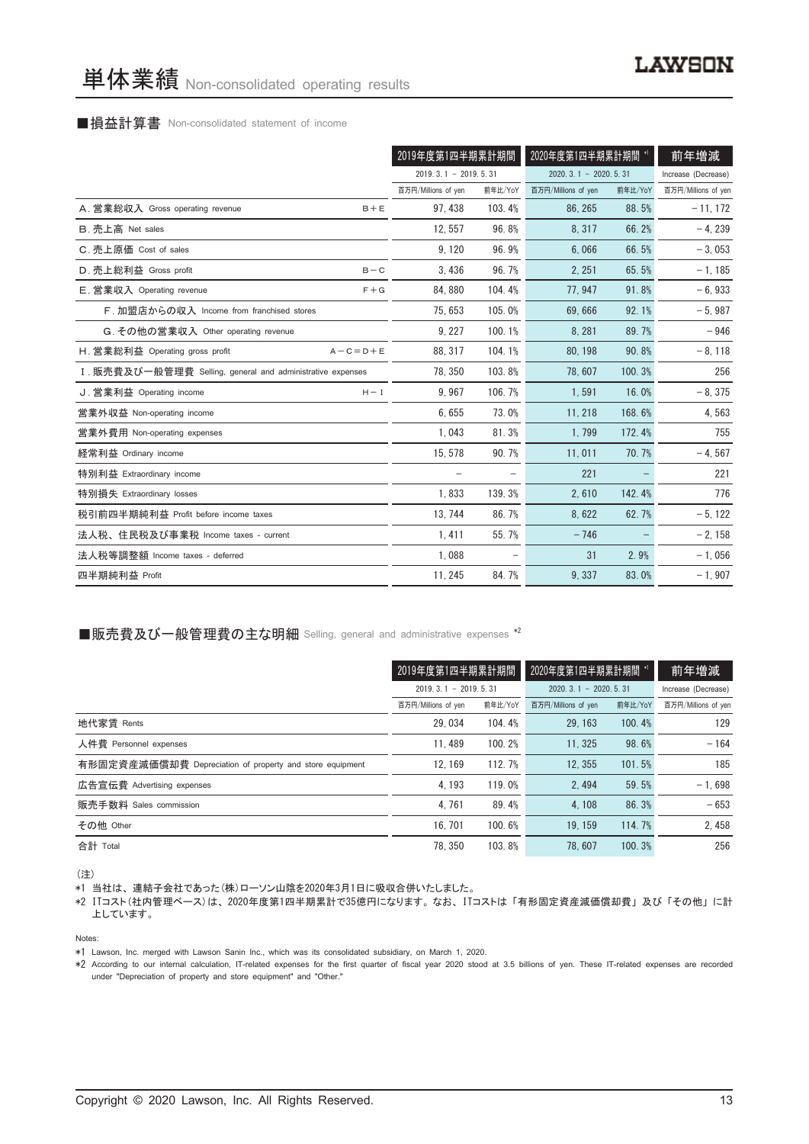## ■損益計算書 Non-consolidated statement of income

|                                                            | 2019年度第1四半期累計期間        |         | 2020年度第1四半期累計期間        |         | 前年増減                |
|------------------------------------------------------------|------------------------|---------|------------------------|---------|---------------------|
|                                                            | $2019.3.1 - 2019.5.31$ |         | $2020.3.1 - 2020.5.31$ |         | Increase (Decrease) |
|                                                            | 百万円/Millions of yen    | 前年比/YoY | 百万円/Millions of yen    | 前年比/YoY | 百万円/Millions of yen |
| A. 営業総収入 Gross operating revenue<br>$B + E$                | 97.438                 | 103.4%  | 86.265                 | 88.5%   | $-11, 172$          |
| B. 売上高 Net sales                                           | 12.557                 | 96.8%   | 8,317                  | 66.2%   | $-4, 239$           |
| C. 売上原価 Cost of sales                                      | 9,120                  | 96.9%   | 6.066                  | 66.5%   | $-3,053$            |
| D. 売上総利益 Gross profit<br>$B - C$                           | 3,436                  | 96.7%   | 2, 251                 | 65.5%   | $-1, 185$           |
| E. 営業収入 Operating revenue<br>$F + G$                       | 84, 880                | 104.4%  | 77, 947                | 91.8%   | $-6,933$            |
| F. 加盟店からの収入 Income from franchised stores                  | 75, 653                | 105.0%  | 69.666                 | 92.1%   | $-5,987$            |
| G. その他の営業収入 Other operating revenue                        | 9, 227                 | 100.1%  | 8,281                  | 89.7%   | $-946$              |
| H. 営業総利益 Operating gross profit<br>$A - C = D + E$         | 88.317                 | 104.1%  | 80.198                 | 90.8%   | $-8,118$            |
| I. 販売費及び一般管理費 Selling, general and administrative expenses | 78.350                 | 103.8%  | 78.607                 | 100.3%  | 256                 |
| J. 営業利益 Operating income<br>$H - I$                        | 9.967                  | 106.7%  | 1.591                  | 16.0%   | $-8,375$            |
| 営業外収益 Non-operating income                                 | 6,655                  | 73.0%   | 11, 218                | 168.6%  | 4,563               |
| 営業外費用 Non-operating expenses                               | 1,043                  | 81.3%   | 1.799                  | 172.4%  | 755                 |
| 経常利益 Ordinary income                                       | 15, 578                | 90.7%   | 11,011                 | 70.7%   | $-4, 567$           |
| 特別利益 Extraordinary income                                  | -                      |         | 221                    |         | 221                 |
| 特別損失 Extraordinary losses                                  | 1,833                  | 139.3%  | 2,610                  | 142.4%  | 776                 |
| 税引前四半期純利益 Profit before income taxes                       | 13, 744                | 86.7%   | 8,622                  | 62.7%   | $-5, 122$           |
| 法人税、住民税及び事業税 Income taxes - current                        | 1.411                  | 55.7%   | $-746$                 |         | $-2, 158$           |
| 法人税等調整額 Income taxes - deferred                            | 1.088                  |         | 31                     | 2.9%    | $-1,056$            |
| 四半期純利益 Profit                                              | 11, 245                | 84.7%   | 9,337                  | 83.0%   | $-1,907$            |

#### ■販売費及び一般管理費の主な明細 Selling, general and administrative expenses \*2

|                                                          | 2019年度第1四半期累計期間        |         | 2020年度第1四半期累計期間 *1     | 前年増減    |                     |
|----------------------------------------------------------|------------------------|---------|------------------------|---------|---------------------|
|                                                          | $2019.3.1 - 2019.5.31$ |         | $2020.3.1 - 2020.5.31$ |         | Increase (Decrease) |
|                                                          | 百万円/Millions of yen    | 前年比/YoY | 百万円/Millions of yen    | 前年比/YoY | 百万円/Millions of yen |
| 地代家賃 Rents                                               | 29.034                 | 104.4%  | 29.163                 | 100.4%  | 129                 |
| 人件費 Personnel expenses                                   | 11.489                 | 100.2%  | 11.325                 | 98.6%   | $-164$              |
| 有形固定資産減価償却費 Depreciation of property and store equipment | 12.169                 | 112.7%  | 12.355                 | 101.5%  | 185                 |
| 広告宣伝費 Advertising expenses                               | 4.193                  | 119.0%  | 2.494                  | 59.5%   | $-1.698$            |
| 販売手数料 Sales commission                                   | 4.761                  | 89.4%   | 4.108                  | 86.3%   | $-653$              |
| その他 Other                                                | 16.701                 | 100.6%  | 19.159                 | 114.7%  | 2,458               |
| 合計 Total                                                 | 78.350                 | 103.8%  | 78.607                 | 100.3%  | 256                 |

(注)

\*1 当社は、 連結子会社であった(株)ローソン山陰を2020年3月1日に吸収合併いたしました。

\*2 ITコスト(社内管理ベース)は、 2020年度第1四半期累計で35億円になります。 なお、 ITコストは 「有形固定資産減価償却費」 及び 「その他」 に計 上しています。

Notes:

\*1 Lawson, Inc. merged with Lawson Sanin Inc., which was its consolidated subsidiary, on March 1, 2020.

\*2 According to our internal calculation, IT-related expenses for the first quarter of fiscal year 2020 stood at 3.5 billions of yen. These IT-related expenses are recorded under "Depreciation of property and store equipment" and "Other."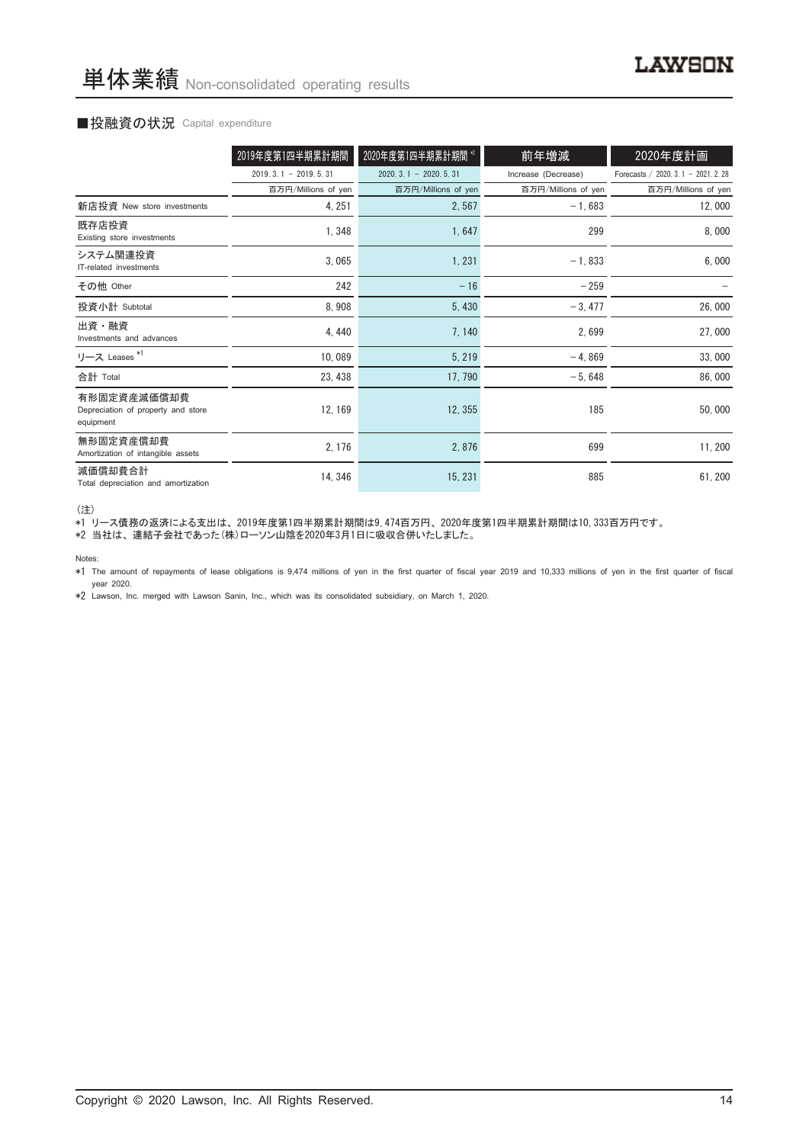#### ■投融資の状況 Capital expenditure

|                                                                | 2019年度第1四半期累計期間        | 2020年度第1四半期累計期間 *2     | 前年増減                | 2020年度計画                           |
|----------------------------------------------------------------|------------------------|------------------------|---------------------|------------------------------------|
|                                                                |                        |                        |                     |                                    |
|                                                                | $2019.3.1 - 2019.5.31$ | $2020.3.1 - 2020.5.31$ | Increase (Decrease) | Forecasts / 2020. 3.1 - 2021. 2.28 |
|                                                                | 百万円/Millions of yen    | 百万円/Millions of yen    | 百万円/Millions of yen | 百万円/Millions of yen                |
| 新店投資 New store investments                                     | 4, 251                 | 2,567                  | $-1,683$            | 12,000                             |
| 既存店投資<br>Existing store investments                            | 1,348                  | 1,647                  | 299                 | 8,000                              |
| システム関連投資<br>IT-related investments                             | 3,065                  | 1,231                  | $-1,833$            | 6,000                              |
| その他 Other                                                      | 242                    | $-16$                  | $-259$              |                                    |
| 投資小計 Subtotal                                                  | 8,908                  | 5,430                  | $-3,477$            | 26,000                             |
| 出資・融資<br>Investments and advances                              | 4, 440                 | 7,140                  | 2,699               | 27,000                             |
| リース Leases <sup>*1</sup>                                       | 10,089                 | 5,219                  | $-4,869$            | 33,000                             |
| 合計 Total                                                       | 23, 438                | 17, 790                | $-5,648$            | 86,000                             |
| 有形固定資産減価償却費<br>Depreciation of property and store<br>equipment | 12, 169                | 12, 355                | 185                 | 50,000                             |
| 無形固定資産償却費<br>Amortization of intangible assets                 | 2, 176                 | 2,876                  | 699                 | 11, 200                            |
| 減価償却費合計<br>Total depreciation and amortization                 | 14, 346                | 15, 231                | 885                 | 61, 200                            |

(注)

\*1 リース債務の返済による支出は、 2019年度第1四半期累計期間は9,474百万円、 2020年度第1四半期累計期間は10,333百万円です。

\*2 当社は、連結子会社であった(株)ローソン山陰を2020年3月1日に吸収合併いたしました。

Notes:

\*1 The amount of repayments of lease obligations is 9,474 millions of yen in the first quarter of fiscal year 2019 and 10,333 millions of yen in the first quarter of fiscal year 2020.

\*2 Lawson, Inc. merged with Lawson Sanin, Inc., which was its consolidated subsidiary, on March 1, 2020.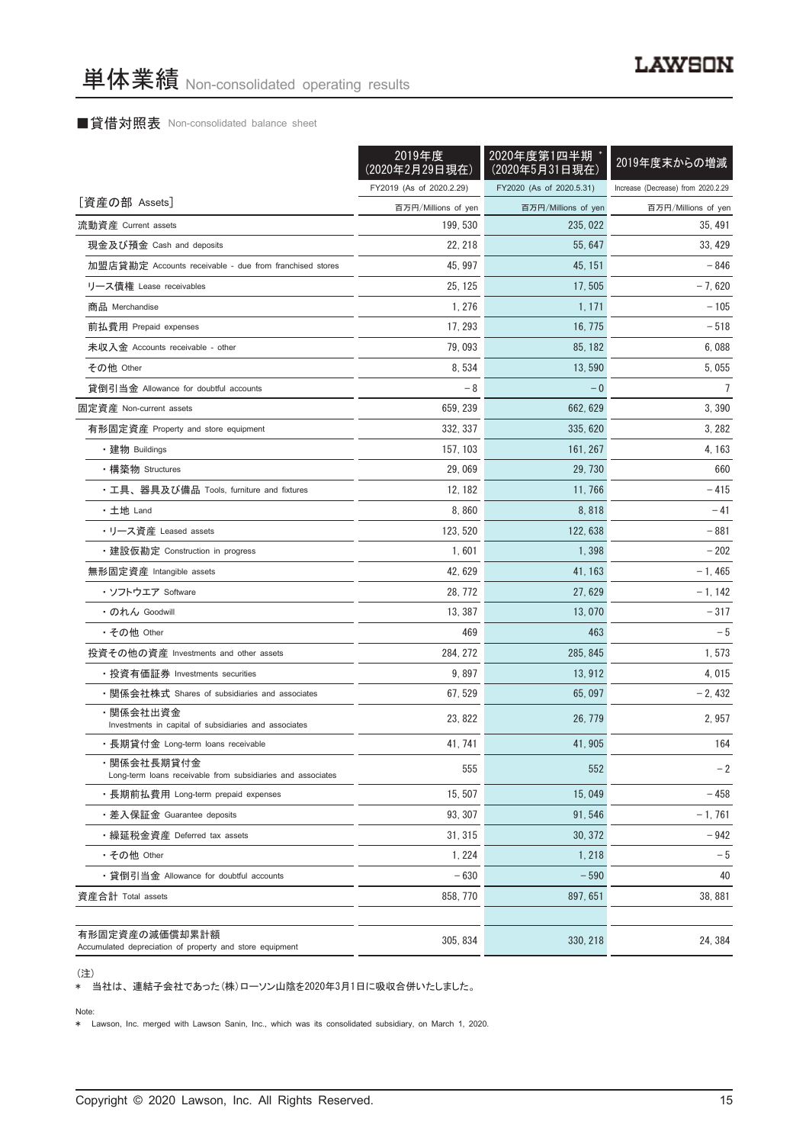#### ■貸借対照表 Non-consolidated balance sheet

|                                                                            | 2019年度<br>(2020年2月29日現在) | 2020年度第1四半期<br>(2020年5月31日現在) | 2019年度末からの増減                       |
|----------------------------------------------------------------------------|--------------------------|-------------------------------|------------------------------------|
|                                                                            | FY2019 (As of 2020.2.29) | FY2020 (As of 2020.5.31)      | Increase (Decrease) from 2020.2.29 |
| [資産の部 Assets]                                                              | 百万円/Millions of yen      | 百万円/Millions of yen           | 百万円/Millions of yen                |
| 流動資産 Current assets                                                        | 199, 530                 | 235.022                       | 35, 491                            |
| 現金及び預金 Cash and deposits                                                   | 22, 218                  | 55.647                        | 33, 429                            |
| 加盟店貸勘定 Accounts receivable - due from franchised stores                    | 45, 997                  | 45, 151                       | - 846                              |
| リース債権 Lease receivables                                                    | 25.125                   | 17, 505                       | $-7,620$                           |
| 商品 Merchandise                                                             | 1, 276                   | 1, 171                        | $-105$                             |
| 前払費用 Prepaid expenses                                                      | 17, 293                  | 16, 775                       | $-518$                             |
| 未収入金 Accounts receivable - other                                           | 79,093                   | 85, 182                       | 6,088                              |
| その他 Other                                                                  | 8,534                    | 13,590                        | 5,055                              |
| 貸倒引当金 Allowance for doubtful accounts                                      | - 8                      | $-0$                          | $\overline{7}$                     |
| 固定資産 Non-current assets                                                    | 659, 239                 | 662, 629                      | 3,390                              |
| 有形固定資産 Property and store equipment                                        | 332.337                  | 335.620                       | 3, 282                             |
| ・建物 Buildings                                                              | 157, 103                 | 161, 267                      | 4, 163                             |
| ・構築物 Structures                                                            | 29,069                   | 29, 730                       | 660                                |
| ・工具、器具及び備品 Tools, furniture and fixtures                                   | 12, 182                  | 11, 766                       | - 415                              |
| ・土地 Land                                                                   | 8,860                    | 8,818                         | $-41$                              |
| ・リース資産 Leased assets                                                       | 123.520                  | 122, 638                      | - 881                              |
| ・建設仮勘定 Construction in progress                                            | 1,601                    | 1,398                         | $-202$                             |
| 無形固定資産 Intangible assets                                                   | 42, 629                  | 41, 163                       | $-1,465$                           |
| ・ソフトウエア Software                                                           | 28, 772                  | 27, 629                       | $-1, 142$                          |
| ・のれん Goodwill                                                              | 13, 387                  | 13,070                        | $-317$                             |
| ・その他 Other                                                                 | 469                      | 463                           | $-5$                               |
| 投資その他の資産 Investments and other assets                                      | 284, 272                 | 285, 845                      | 1,573                              |
| ・投資有価証券 Investments securities                                             | 9,897                    | 13, 912                       | 4,015                              |
| ・関係会社株式 Shares of subsidiaries and associates                              | 67, 529                  | 65,097                        | $-2,432$                           |
| ・関係会社出資金<br>Investments in capital of subsidiaries and associates          | 23.822                   | 26, 779                       | 2,957                              |
| ・長期貸付金 Long-term loans receivable                                          | 41, 741                  | 41, 905                       | 164                                |
| ・関係会社長期貸付金<br>Long-term loans receivable from subsidiaries and associates  | 555                      | 552                           | $-2$                               |
| ・長期前払費用 Long-term prepaid expenses                                         | 15, 507                  | 15,049                        | - 458                              |
| ・差入保証金 Guarantee deposits                                                  | 93, 307                  | 91, 546                       | $-1,761$                           |
| ・繰延税金資産 Deferred tax assets                                                | 31, 315                  | 30.372                        | $-942$                             |
| ・その他 Other                                                                 | 1, 224                   | 1,218                         | $-5$                               |
| ・貸倒引当金 Allowance for doubtful accounts                                     | $-630$                   | $-590$                        | 40                                 |
| 資産合計 Total assets                                                          | 858, 770                 | 897, 651                      | 38, 881                            |
| 有形固定資産の減価償却累計額<br>Accumulated depreciation of property and store equipment | 305, 834                 | 330, 218                      | 24, 384                            |

(注)

\* 当社は、 連結子会社であった(株)ローソン山陰を2020年3月1日に吸収合併いたしました。

Note:

\* Lawson, Inc. merged with Lawson Sanin, Inc., which was its consolidated subsidiary, on March 1, 2020.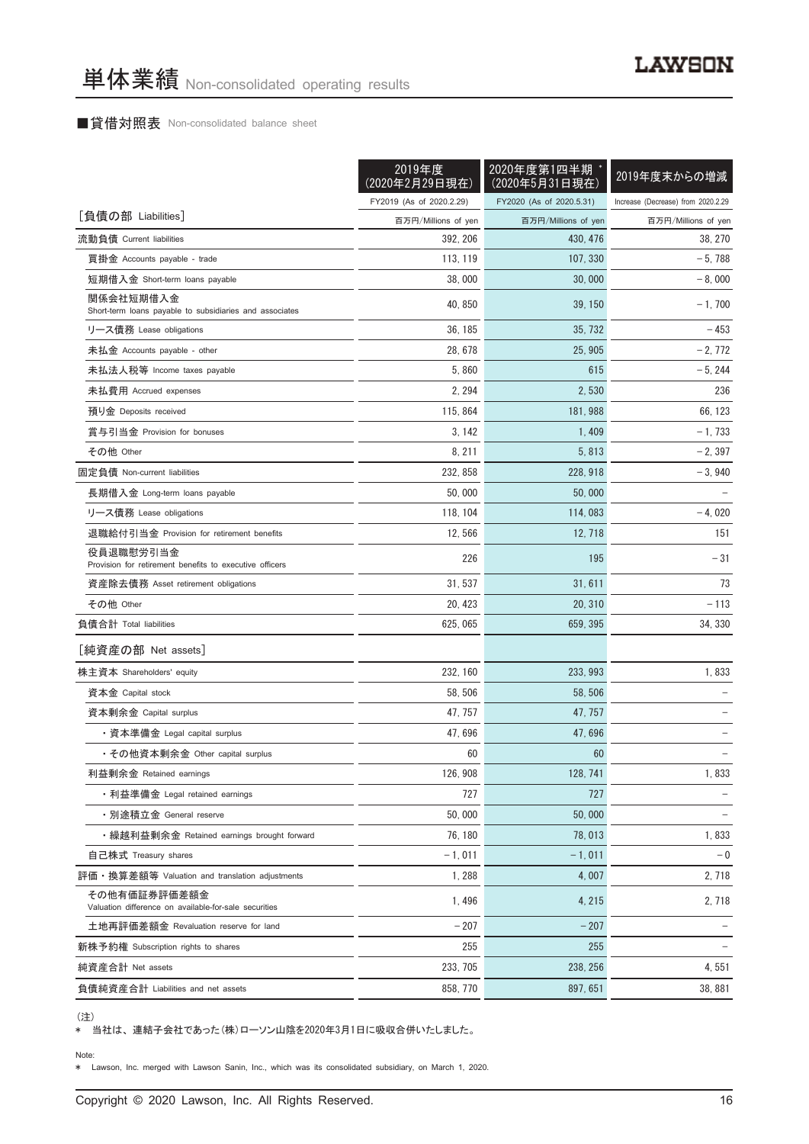#### ■貸借対照表 Non-consolidated balance sheet

|                                                                       | 2019年度<br>(2020年2月29日現在) | 2020年度第1四半期<br>(2020年5月31日現在) | 2019年度末からの増減                       |
|-----------------------------------------------------------------------|--------------------------|-------------------------------|------------------------------------|
|                                                                       | FY2019 (As of 2020.2.29) | FY2020 (As of 2020.5.31)      | Increase (Decrease) from 2020.2.29 |
| [負債の部 Liabilities]                                                    | 百万円/Millions of yen      | 百万円/Millions of yen           | 百万円/Millions of yen                |
| 流動負債 Current liabilities                                              | 392, 206                 | 430, 476                      | 38, 270                            |
| 買掛金 Accounts payable - trade                                          | 113, 119                 | 107, 330                      | $-5,788$                           |
| 短期借入金 Short-term loans payable                                        | 38,000                   | 30,000                        | $-8,000$                           |
| 関係会社短期借入金<br>Short-term loans payable to subsidiaries and associates  | 40, 850                  | 39, 150                       | $-1,700$                           |
| リース債務 Lease obligations                                               | 36, 185                  | 35, 732                       | $-453$                             |
| 未払金 Accounts payable - other                                          | 28, 678                  | 25, 905                       | $-2,772$                           |
| 未払法人税等 Income taxes payable                                           | 5,860                    | 615                           | $-5, 244$                          |
| 未払費用 Accrued expenses                                                 | 2, 294                   | 2,530                         | 236                                |
| 預り金 Deposits received                                                 | 115, 864                 | 181, 988                      | 66, 123                            |
| 賞与引当金 Provision for bonuses                                           | 3, 142                   | 1,409                         | $-1,733$                           |
| その他 Other                                                             | 8, 211                   | 5,813                         | $-2, 397$                          |
| 固定負債 Non-current liabilities                                          | 232, 858                 | 228, 918                      | $-3,940$                           |
| 長期借入金 Long-term loans payable                                         | 50,000                   | 50,000                        |                                    |
| リース債務 Lease obligations                                               | 118, 104                 | 114,083                       | $-4,020$                           |
| 退職給付引当金 Provision for retirement benefits                             | 12,566                   | 12, 718                       | 151                                |
| 役員退職慰労引当金<br>Provision for retirement benefits to executive officers  | 226                      | 195                           | $-31$                              |
| 資産除去債務 Asset retirement obligations                                   | 31, 537                  | 31, 611                       | 73                                 |
| その他 Other                                                             | 20, 423                  | 20, 310                       | - 113                              |
| 負債合計 Total liabilities                                                | 625, 065                 | 659, 395                      | 34, 330                            |
| [純資産の部 Net assets]                                                    |                          |                               |                                    |
| 株主資本 Shareholders' equity                                             | 232, 160                 | 233, 993                      | 1,833                              |
| 資本金 Capital stock                                                     | 58, 506                  | 58, 506                       |                                    |
| 資本剰余金 Capital surplus                                                 | 47, 757                  | 47, 757                       |                                    |
| ・資本準備金 Legal capital surplus                                          | 47,696                   | 47,696                        |                                    |
| ・その他資本剰余金 Other capital surplus                                       | 60                       | 60                            |                                    |
| 利益剰余金 Retained earnings                                               | 126, 908                 | 128, 741                      | 1,833                              |
| ・利益準備金 Legal retained earnings                                        | 727                      | 727                           |                                    |
| • 別途積立金 General reserve                                               | 50,000                   | 50,000                        |                                    |
| ・繰越利益剰余金 Retained earnings brought forward                            | 76, 180                  | 78,013                        | 1,833                              |
| 自己株式 Treasury shares                                                  | $-1,011$                 | $-1,011$                      | $-0$                               |
| 評価・換算差額等 Valuation and translation adjustments                        | 1,288                    | 4,007                         | 2,718                              |
| その他有価証券評価差額金<br>Valuation difference on available-for-sale securities | 1,496                    | 4, 215                        | 2,718                              |
| 土地再評価差額金 Revaluation reserve for land                                 | $-207$                   | $-207$                        |                                    |
| 新株予約権 Subscription rights to shares                                   | 255                      | 255                           |                                    |
| 純資産合計 Net assets                                                      | 233, 705                 | 238, 256                      | 4,551                              |
| 負債純資産合計 Liabilities and net assets                                    | 858, 770                 | 897, 651                      | 38,881                             |

<sup>(</sup>注)

\* 当社は、 連結子会社であった(株)ローソン山陰を2020年3月1日に吸収合併いたしました。

Note:

\* Lawson, Inc. merged with Lawson Sanin, Inc., which was its consolidated subsidiary, on March 1, 2020.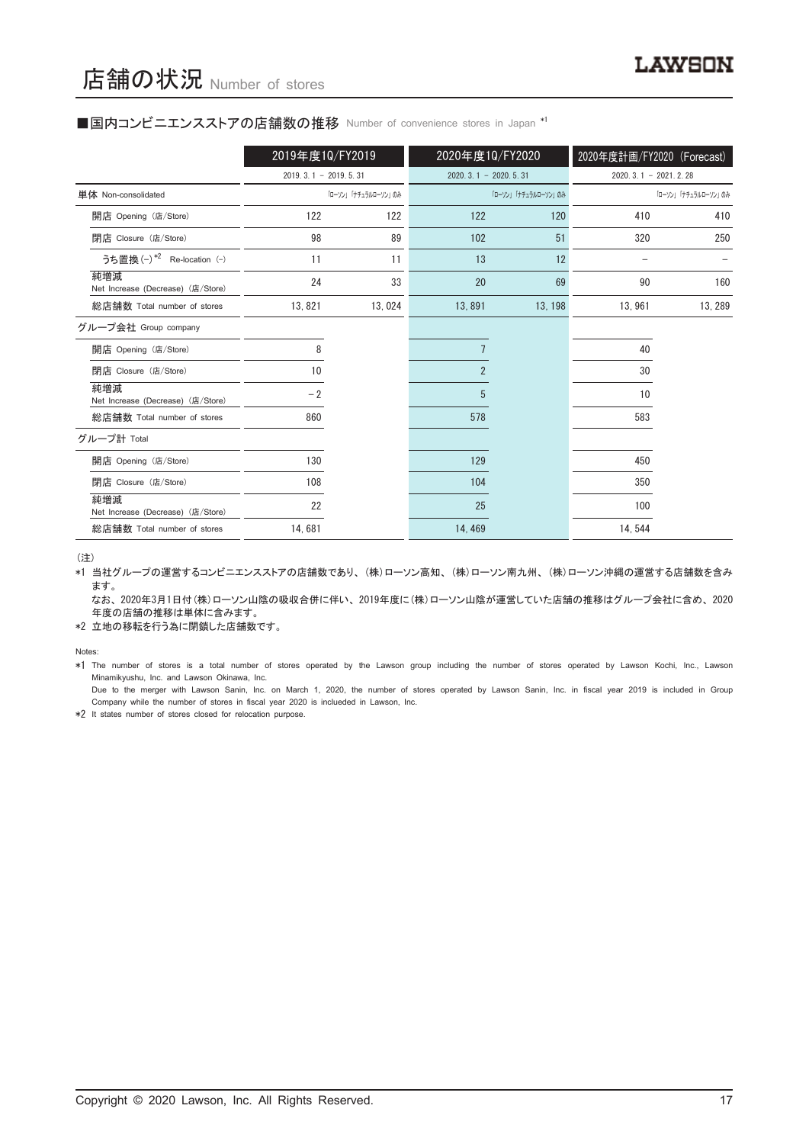#### ■国内コンビニエンスストアの店舗数の推移 Number of convenience stores in Japan \*1

|                                          | 2019年度10/FY2019        |                     | 2020年度10/FY2020        |                     | 2020年度計画/FY2020 (Forecast) |                     |
|------------------------------------------|------------------------|---------------------|------------------------|---------------------|----------------------------|---------------------|
|                                          | $2019.3.1 - 2019.5.31$ |                     | $2020.3.1 - 2020.5.31$ |                     | $2020.3.1 - 2021.2.28$     |                     |
| 単体 Non-consolidated                      |                        | 「ローソン」「ナチュラルローソン」のみ |                        | 「ローソン」「ナチュラルローソン」のみ |                            | 「ローソン」「ナチュラルローソン」のみ |
| 開店 Opening (店/Store)                     | 122                    | 122                 | 122                    | 120                 | 410                        | 410                 |
| 閉店 Closure (店/Store)                     | 98                     | 89                  | 102                    | 51                  | 320                        | 250                 |
| うち置換 (-) *2 Re-location (-)              | 11                     | 11                  | 13                     | 12                  |                            |                     |
| 純増減<br>Net Increase (Decrease) (店/Store) | 24                     | 33                  | 20                     | 69                  | 90                         | 160                 |
| 総店舗数 Total number of stores              | 13,821                 | 13,024              | 13,891                 | 13, 198             | 13,961                     | 13, 289             |
| グループ会社 Group company                     |                        |                     |                        |                     |                            |                     |
| 開店 Opening (店/Store)                     | 8                      |                     |                        |                     | 40                         |                     |
| 閉店 Closure (店/Store)                     | 10                     |                     | $\overline{2}$         |                     | 30                         |                     |
| 純増減<br>Net Increase (Decrease) (店/Store) | $-2$                   |                     | 5                      |                     | 10                         |                     |
| 総店舗数 Total number of stores              | 860                    |                     | 578                    |                     | 583                        |                     |
| グループ計 Total                              |                        |                     |                        |                     |                            |                     |
| 開店 Opening (店/Store)                     | 130                    |                     | 129                    |                     | 450                        |                     |
| 閉店 Closure (店/Store)                     | 108                    |                     | 104                    |                     | 350                        |                     |
| 純増減<br>Net Increase (Decrease) (店/Store) | 22                     |                     | 25                     |                     | 100                        |                     |
| 総店舗数 Total number of stores              | 14,681                 |                     | 14, 469                |                     | 14, 544                    |                     |

(注)

\*1 当社グループの運営するコンビニエンスストアの店舗数であり、 (株)ローソン高知、 (株)ローソン南九州、 (株)ローソン沖縄の運営する店舗数を含み ます。

なお、2020年3月1日付(株)ローソン山陰の吸収合併に伴い、2019年度に(株)ローソン山陰が運営していた店舗の推移はグループ会社に含め、2020 年度の店舗の推移は単体に含みます。

\*2 立地の移転を行う為に閉鎖した店舗数です。

Notes:

\*1 The number of stores is a total number of stores operated by the Lawson group including the number of stores operated by Lawson Kochi, Inc., Lawson Minamikyushu, Inc. and Lawson Okinawa, Inc.

Due to the merger with Lawson Sanin, Inc. on March 1, 2020, the number of stores operated by Lawson Sanin, Inc. in fiscal year 2019 is included in Group Company while the number of stores in fiscal year 2020 is inclueded in Lawson, Inc.

\*2 It states number of stores closed for relocation purpose.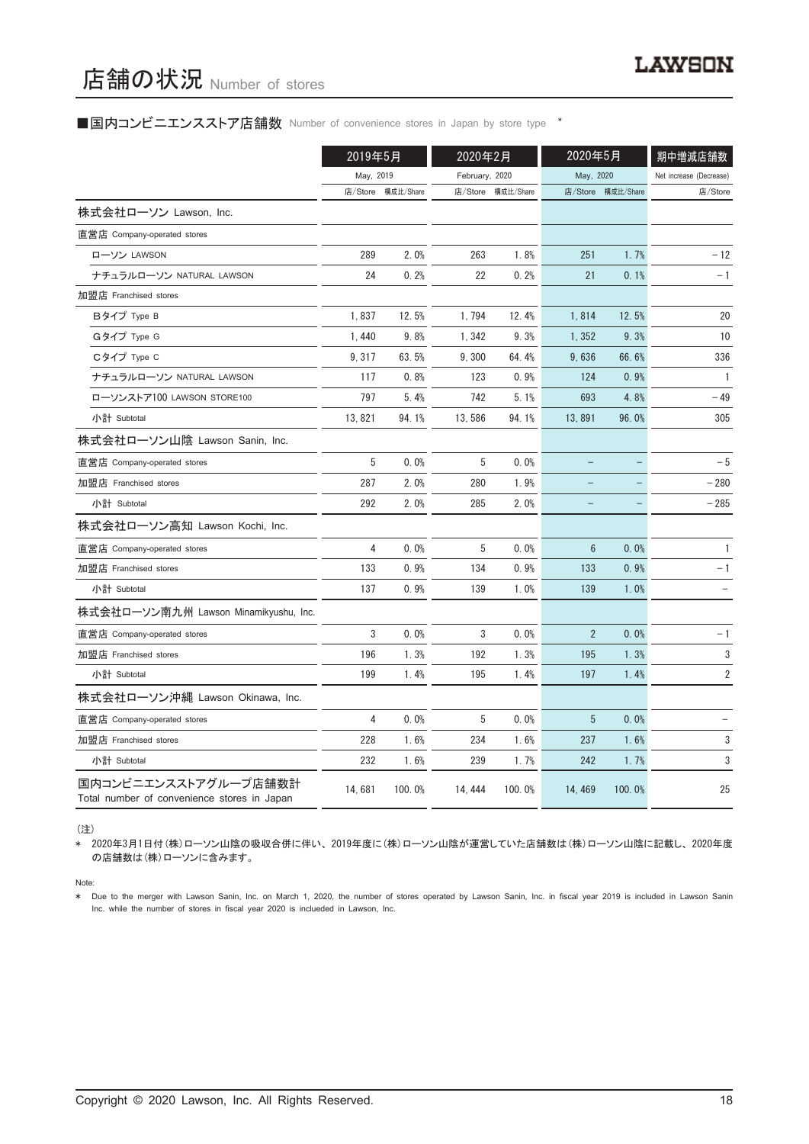# 店舗の状況 Number of stores

#### ■国内コンビニエンスストア店舗数 Number of convenience stores in Japan by store type <sup>\*</sup>

|                                                                     | 2019年5月   |           | 2020年2月        |           | 2020年5月                  |                   | 期中増減店舗数                 |
|---------------------------------------------------------------------|-----------|-----------|----------------|-----------|--------------------------|-------------------|-------------------------|
|                                                                     | May, 2019 |           | February, 2020 |           | May, 2020                |                   | Net increase (Decrease) |
|                                                                     | 店/Store   | 構成比/Share | 店/Store        | 構成比/Share |                          | 店/Store 構成比/Share | 店/Store                 |
| 株式会社ローソン Lawson, Inc.                                               |           |           |                |           |                          |                   |                         |
| 直営店 Company-operated stores                                         |           |           |                |           |                          |                   |                         |
| ローソン LAWSON                                                         | 289       | 2.0%      | 263            | 1.8%      | 251                      | 1.7%              | $-12$                   |
| ナチュラルローソン NATURAL LAWSON                                            | 24        | 0.2%      | 22             | 0.2%      | 21                       | 0.1%              | $-1$                    |
| 加盟店 Franchised stores                                               |           |           |                |           |                          |                   |                         |
| Bタイプ Type B                                                         | 1,837     | 12.5%     | 1,794          | 12.4%     | 1,814                    | 12.5%             | 20                      |
| Gタイプ Type G                                                         | 1,440     | 9.8%      | 1,342          | 9.3%      | 1,352                    | 9.3%              | 10                      |
| Cタイプ Type C                                                         | 9, 317    | 63.5%     | 9,300          | 64.4%     | 9,636                    | 66.6%             | 336                     |
| ナチュラルローソン NATURAL LAWSON                                            | 117       | 0.8%      | 123            | 0.9%      | 124                      | 0.9%              | $\mathbf{1}$            |
| ローソンストア100 LAWSON STORE100                                          | 797       | 5.4%      | 742            | 5.1%      | 693                      | 4.8%              | - 49                    |
| 小計 Subtotal                                                         | 13, 821   | 94.1%     | 13,586         | 94.1%     | 13,891                   | 96.0%             | 305                     |
| 株式会社ローソン山陰 Lawson Sanin, Inc.                                       |           |           |                |           |                          |                   |                         |
| 直営店 Company-operated stores                                         | 5         | 0.0%      | 5              | 0.0%      | $\overline{\phantom{0}}$ |                   | $-5$                    |
| 加盟店 Franchised stores                                               | 287       | 2.0%      | 280            | 1.9%      |                          |                   | $-280$                  |
| 小計 Subtotal                                                         | 292       | 2.0%      | 285            | 2.0%      | $\overline{\phantom{0}}$ |                   | $-285$                  |
| 株式会社ローソン高知 Lawson Kochi, Inc.                                       |           |           |                |           |                          |                   |                         |
| 直営店 Company-operated stores                                         | 4         | 0.0%      | 5              | 0.0%      | 6                        | 0.0%              | $\mathbf{1}$            |
| 加盟店 Franchised stores                                               | 133       | 0.9%      | 134            | 0.9%      | 133                      | 0.9%              | $-1$                    |
| 小計 Subtotal                                                         | 137       | 0.9%      | 139            | 1.0%      | 139                      | 1.0%              |                         |
| 株式会社ローソン南九州 Lawson Minamikyushu, Inc.                               |           |           |                |           |                          |                   |                         |
| 直営店 Company-operated stores                                         | 3         | 0.0%      | 3              | 0.0%      | $\overline{2}$           | 0.0%              | $-1$                    |
| 加盟店 Franchised stores                                               | 196       | 1.3%      | 192            | 1.3%      | 195                      | 1.3%              | 3                       |
| 小計 Subtotal                                                         | 199       | 1.4%      | 195            | 1.4%      | 197                      | 1.4%              | 2                       |
| 株式会社ローソン沖縄 Lawson Okinawa, Inc.                                     |           |           |                |           |                          |                   |                         |
| 直営店 Company-operated stores                                         | 4         | 0.0%      | 5              | 0.0%      | 5                        | 0.0%              |                         |
| 加盟店 Franchised stores                                               | 228       | 1.6%      | 234            | 1.6%      | 237                      | 1.6%              | 3                       |
| 小計 Subtotal                                                         | 232       | 1.6%      | 239            | 1.7%      | 242                      | 1.7%              | 3                       |
| 国内コンビニエンスストアグループ店舗数計<br>Total number of convenience stores in Japan | 14,681    | 100.0%    | 14, 444        | 100.0%    | 14, 469                  | 100.0%            | 25                      |

(注)

\* 2020年3月1日付(株)ローソン山陰の吸収合併に伴い、 2019年度に(株)ローソン山陰が運営していた店舗数は(株)ローソン山陰に記載し、 2020年度 の店舗数は(株)ローソンに含みます。

Note:

\* Due to the merger with Lawson Sanin, Inc. on March 1, 2020, the number of stores operated by Lawson Sanin, Inc. in fiscal year 2019 is included in Lawson Sanin Inc. while the number of stores in fiscal year 2020 is inclueded in Lawson, Inc.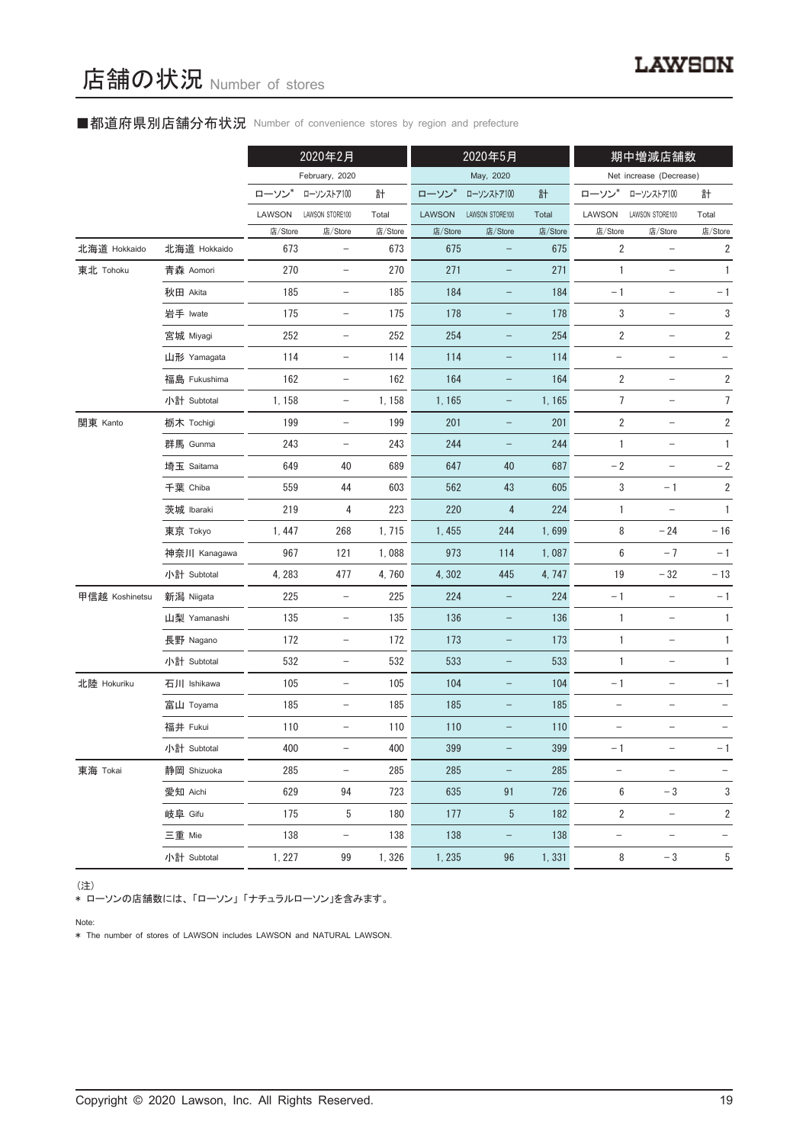## ■都道府県別店舗分布状況 Number of convenience stores by region and prefecture

|                |              |         | 2020年2月                  |         | 2020年5月       |                          | 期中増減店舗数 |                          |                          |                         |
|----------------|--------------|---------|--------------------------|---------|---------------|--------------------------|---------|--------------------------|--------------------------|-------------------------|
|                |              |         | February, 2020           |         |               | May, 2020                |         |                          | Net increase (Decrease)  |                         |
|                |              | ローソン    | ローソンストア100               | 計       | ローソン*         | ローソンストア100               | 計       | ローソン                     | ローソンストア100               | 計                       |
|                |              | LAWSON  | LAWSON STORE100          | Total   | <b>LAWSON</b> | LAWSON STORE100          | Total   | LAWSON                   | LAWSON STORE100          | Total                   |
|                |              | 店/Store | 店/Store                  | 店/Store | 店/Store       | 店/Store                  | 店/Store | 店/Store                  | 店/Store                  | 店/Store                 |
| 北海道 Hokkaido   | 北海道 Hokkaido | 673     | $\qquad \qquad -$        | 673     | 675           | $\qquad \qquad -$        | 675     | $\overline{2}$           |                          | $\overline{2}$          |
| 東北 Tohoku      | 青森 Aomori    | 270     | $\overline{\phantom{m}}$ | 270     | 271           |                          | 271     | $\mathbf{1}$             | $\qquad \qquad -$        | $\mathbf{1}$            |
|                | 秋田 Akita     | 185     | $\overline{\phantom{a}}$ | 185     | 184           | $\qquad \qquad -$        | 184     | $-1$                     | $\qquad \qquad -$        | $-1$                    |
|                | 岩手 Iwate     | 175     | $\qquad \qquad -$        | 175     | 178           | -                        | 178     | 3                        | $\qquad \qquad -$        | $\sqrt{3}$              |
|                | 宮城 Miyagi    | 252     | $\qquad \qquad -$        | 252     | 254           | -                        | 254     | $\overline{2}$           | $\overline{\phantom{0}}$ | $\sqrt{2}$              |
|                | 山形 Yamagata  | 114     | $\overline{\phantom{a}}$ | 114     | 114           | $\qquad \qquad -$        | 114     | $\qquad \qquad -$        | $\overline{\phantom{a}}$ |                         |
|                | 福島 Fukushima | 162     | $\overline{\phantom{a}}$ | 162     | 164           | $\qquad \qquad -$        | 164     | 2                        | $\qquad \qquad -$        | $\sqrt{2}$              |
|                | 小計 Subtotal  | 1,158   | $\overline{\phantom{a}}$ | 1,158   | 1,165         | $\qquad \qquad -$        | 1,165   | $\overline{7}$           | $\overline{\phantom{0}}$ | $\overline{7}$          |
| 関東 Kanto       | 栃木 Tochigi   | 199     | $\overline{\phantom{a}}$ | 199     | 201           | $\qquad \qquad -$        | 201     | $\overline{2}$           | $\overline{\phantom{a}}$ | $\overline{\mathbf{c}}$ |
|                | 群馬 Gunma     | 243     | $\qquad \qquad -$        | 243     | 244           | $\qquad \qquad -$        | 244     | $\mathbf{1}$             |                          | $\mathbf{1}$            |
|                | 埼玉 Saitama   | 649     | 40                       | 689     | 647           | 40                       | 687     | $-2$                     | $\qquad \qquad -$        | $-2$                    |
|                | 千葉 Chiba     | 559     | 44                       | 603     | 562           | 43                       | 605     | 3                        | $-1$                     | $\sqrt{2}$              |
|                | 茨城 Ibaraki   | 219     | 4                        | 223     | 220           | 4                        | 224     | 1                        | $\qquad \qquad -$        | $\mathbf{1}$            |
|                | 東京 Tokyo     | 1,447   | 268                      | 1,715   | 1,455         | 244                      | 1,699   | 8                        | $-24$                    | $-16$                   |
|                | 神奈川 Kanagawa | 967     | 121                      | 1,088   | 973           | 114                      | 1,087   | 6                        | $-7$                     | $-1$                    |
|                | 小計 Subtotal  | 4,283   | 477                      | 4,760   | 4,302         | 445                      | 4, 747  | $19$                     | $-32$                    | $-13$                   |
| 甲信越 Koshinetsu | 新潟 Niigata   | 225     | $\overline{\phantom{m}}$ | 225     | 224           | -                        | 224     | $-1$                     | $\qquad \qquad -$        | $-1$                    |
|                | 山梨 Yamanashi | 135     | $\overline{\phantom{a}}$ | 135     | 136           | -                        | 136     | $\mathbf{1}$             | $\overline{\phantom{a}}$ | 1                       |
|                | 長野 Nagano    | 172     | $\overline{\phantom{a}}$ | 172     | 173           | $\qquad \qquad -$        | 173     | 1                        | $\qquad \qquad -$        | $\mathbf{1}$            |
|                | 小計 Subtotal  | 532     | $\overline{\phantom{a}}$ | 532     | 533           | -                        | 533     | $\mathbf{1}$             | $\qquad \qquad -$        | $\mathbf{1}$            |
| 北陸 Hokuriku    | 石川 Ishikawa  | 105     | $\overline{\phantom{a}}$ | 105     | 104           | $\qquad \qquad -$        | 104     | $-1$                     | $\overline{\phantom{a}}$ | $-1$                    |
|                | 富山 Toyama    | 185     | $\qquad \qquad -$        | 185     | 185           | -                        | 185     | $\qquad \qquad -$        |                          |                         |
|                | 福井 Fukui     | 110     | $\qquad \qquad -$        | 110     | 110           |                          | 110     |                          |                          |                         |
|                | 小計 Subtotal  | 400     | $\overline{\phantom{a}}$ | 400     | 399           |                          | 399     | $-1$                     | $\qquad \qquad -$        | - 1                     |
| 東海 Tokai       | 静岡 Shizuoka  | 285     | $\overline{\phantom{0}}$ | 285     | 285           | $\qquad \qquad -$        | 285     | $\qquad \qquad -$        |                          | $\qquad \qquad -$       |
|                | 愛知 Aichi     | 629     | 94                       | 723     | 635           | 91                       | 726     | $6\,$                    | $-3$                     | 3                       |
|                | 岐阜 Gifu      | 175     | 5                        | 180     | 177           | 5                        | 182     | 2                        | $\overline{\phantom{a}}$ | 2                       |
|                | 三重 Mie       | 138     | $\overline{\phantom{a}}$ | 138     | 138           | $\overline{\phantom{a}}$ | 138     | $\overline{\phantom{a}}$ | $\overline{\phantom{a}}$ | -                       |
|                | 小計 Subtotal  | 1, 227  | 99                       | 1,326   | 1, 235        | 96                       | 1,331   | 8                        | $-3$                     | 5                       |

(注)

\* ローソンの店舗数には、 「ローソン」 「ナチュラルローソン」を含みます。

Note:

\* The number of stores of LAWSON includes LAWSON and NATURAL LAWSON.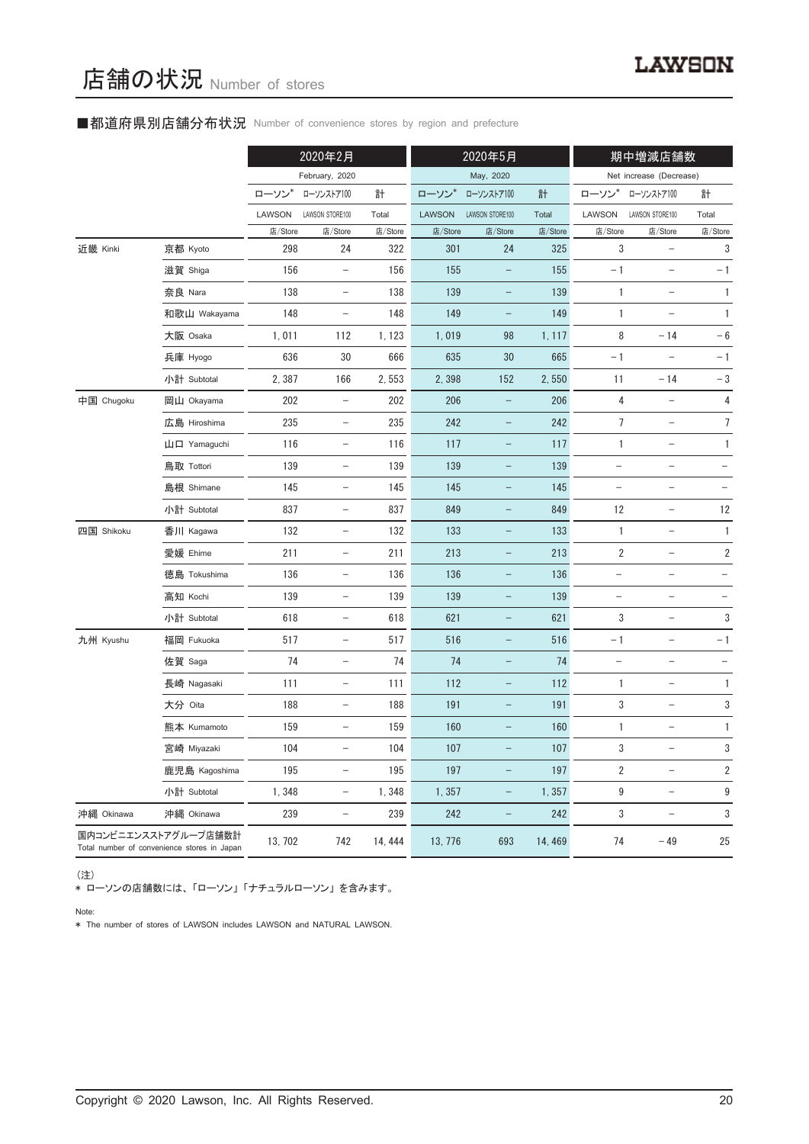## ■都道府県別店舗分布状況 Number of convenience stores by region and prefecture

|            |                                                                     |         | 2020年2月                  |         |               | 2020年5月                  |         |                                   | 期中増減店舗数                           |                          |
|------------|---------------------------------------------------------------------|---------|--------------------------|---------|---------------|--------------------------|---------|-----------------------------------|-----------------------------------|--------------------------|
|            |                                                                     |         | February, 2020           |         |               | May, 2020                |         |                                   | Net increase (Decrease)           |                          |
|            |                                                                     | ローソン*   | ローソンストア100               | 計       | ローソン*         | ローソンストア100               | 計       | ローソン*                             | ローソンストア100                        | 計                        |
|            |                                                                     | LAWSON  | LAWSON STORE100          | Total   | <b>LAWSON</b> | LAWSON STORE100          | Total   | LAWSON                            | LAWSON STORE100                   | Total                    |
|            |                                                                     | 店/Store | 店/Store                  | 店/Store | 店/Store       | 店/Store                  | 店/Store | 店/Store                           | 店/Store                           | 店/Store                  |
| 近畿 Kinki   | 京都 Kyoto                                                            | 298     | 24                       | 322     | 301           | 24                       | 325     | 3                                 |                                   | 3                        |
|            | 滋賀 Shiga                                                            | 156     | $\overline{\phantom{a}}$ | 156     | 155           | $\qquad \qquad -$        | 155     | $-1$                              | $\overline{\phantom{0}}$          | $-1$                     |
|            | 奈良 Nara                                                             | 138     | $\qquad \qquad -$        | 138     | 139           |                          | 139     | 1                                 |                                   | $\mathbf{1}$             |
|            | 和歌山 Wakayama                                                        | 148     | $\qquad \qquad -$        | 148     | 149           |                          | 149     | 1                                 |                                   | $\mathbf{1}$             |
|            | 大阪 Osaka                                                            | 1,011   | 112                      | 1, 123  | 1,019         | 98                       | 1, 117  | 8                                 | $-14$                             | $-6$                     |
|            | 兵庫 Hyogo                                                            | 636     | 30                       | 666     | 635           | 30                       | 665     | $-1$                              |                                   | $-1$                     |
|            | 小計 Subtotal                                                         | 2,387   | 166                      | 2,553   | 2,398         | 152                      | 2,550   | 11                                | $-14$                             | $-3$                     |
| 中国 Chugoku | 岡山 Okayama                                                          | 202     | $\overline{\phantom{0}}$ | 202     | 206           |                          | 206     | 4                                 |                                   | 4                        |
|            | 広島 Hiroshima                                                        | 235     | $\overline{\phantom{a}}$ | 235     | 242           | $\overline{\phantom{0}}$ | 242     | 7                                 | $\overline{\phantom{0}}$          | 7                        |
|            | 山口 Yamaguchi                                                        | 116     | $\overline{\phantom{a}}$ | 116     | 117           | $\qquad \qquad -$        | 117     | $\mathbf{1}$                      | $\qquad \qquad -$                 | $\mathbf{1}$             |
|            | 鳥取 Tottori                                                          | 139     | $\qquad \qquad -$        | 139     | 139           |                          | 139     |                                   |                                   |                          |
|            | 島根 Shimane                                                          | 145     | $\overline{\phantom{a}}$ | 145     | 145           | -                        | 145     | $\qquad \qquad -$                 | $\qquad \qquad -$                 |                          |
|            | 小計 Subtotal                                                         | 837     | $\overline{\phantom{a}}$ | 837     | 849           | $\qquad \qquad -$        | 849     | 12                                | $\overline{\phantom{0}}$          | 12                       |
| 四国 Shikoku | 香川 Kagawa                                                           | 132     | $\overline{\phantom{a}}$ | 132     | 133           |                          | 133     | 1                                 | $\overline{\phantom{0}}$          | 1                        |
|            | 愛媛 Ehime                                                            | 211     | $\overline{\phantom{0}}$ | 211     | 213           | $\overline{\phantom{0}}$ | 213     | 2                                 | $\qquad \qquad -$                 | $\overline{\mathbf{c}}$  |
|            | 徳島 Tokushima                                                        | 136     | $\overline{\phantom{a}}$ | 136     | 136           | $\qquad \qquad -$        | 136     | $\qquad \qquad -$                 | $\qquad \qquad -$                 |                          |
|            | 高知 Kochi                                                            | 139     | $\overline{\phantom{a}}$ | 139     | 139           | $\qquad \qquad -$        | 139     | $\qquad \qquad -$                 | $\qquad \qquad -$                 | $\overline{\phantom{0}}$ |
|            | 小計 Subtotal                                                         | 618     | $\qquad \qquad -$        | 618     | 621           | $\overline{\phantom{0}}$ | 621     | 3                                 | $\overline{\phantom{0}}$          | $\sqrt{3}$               |
| 九州 Kyushu  | 福岡 Fukuoka                                                          | 517     | $\overline{\phantom{a}}$ | 517     | 516           | $\qquad \qquad -$        | 516     | $-1$                              | $\hspace{0.1in} - \hspace{0.1in}$ | $-1$                     |
|            | 佐賀 Saga                                                             | 74      | $\overline{\phantom{a}}$ | 74      | 74            | $\overline{\phantom{0}}$ | 74      | $\hspace{0.1in} - \hspace{0.1in}$ | $\qquad \qquad -$                 |                          |
|            | 長崎 Nagasaki                                                         | 111     | $\qquad \qquad -$        | 111     | 112           |                          | 112     | 1                                 | $\overline{\phantom{0}}$          | 1                        |
|            | 大分 Oita                                                             | 188     | $\qquad \qquad -$        | 188     | 191           |                          | 191     | 3                                 |                                   | 3                        |
|            | 熊本 Kumamoto                                                         | 159     | $\overline{\phantom{a}}$ | 159     | 160           | -                        | 160     | 1                                 | $\overline{\phantom{0}}$          | 1                        |
|            | 宮崎 Miyazaki                                                         | 104     | $\qquad \qquad -$        | 104     | 107           |                          | 107     | 3                                 | $\qquad \qquad -$                 | 3                        |
|            | 鹿児島 Kagoshima                                                       | 195     | $\qquad \qquad -$        | 195     | 197           |                          | 197     | 2                                 | $\overline{\phantom{0}}$          | $\overline{2}$           |
|            | 小計 Subtotal                                                         | 1,348   | $\overline{\phantom{a}}$ | 1,348   | 1,357         | $\qquad \qquad -$        | 1,357   | 9                                 | $\hspace{0.1in} - \hspace{0.1in}$ | $\boldsymbol{9}$         |
| 沖縄 Okinawa | 沖縄 Okinawa                                                          | 239     | $\overline{\phantom{a}}$ | 239     | 242           | $\qquad \qquad -$        | 242     | 3                                 | $\qquad \qquad -$                 | 3                        |
|            | 国内コンビニエンスストアグループ店舗数計<br>Total number of convenience stores in Japan | 13, 702 | 742                      | 14, 444 | 13, 776       | 693                      | 14, 469 | 74                                | $-49$                             | 25                       |

(注)

\* ローソンの店舗数には、 「ローソン」 「ナチュラルローソン」 を含みます。

Note:

\* The number of stores of LAWSON includes LAWSON and NATURAL LAWSON.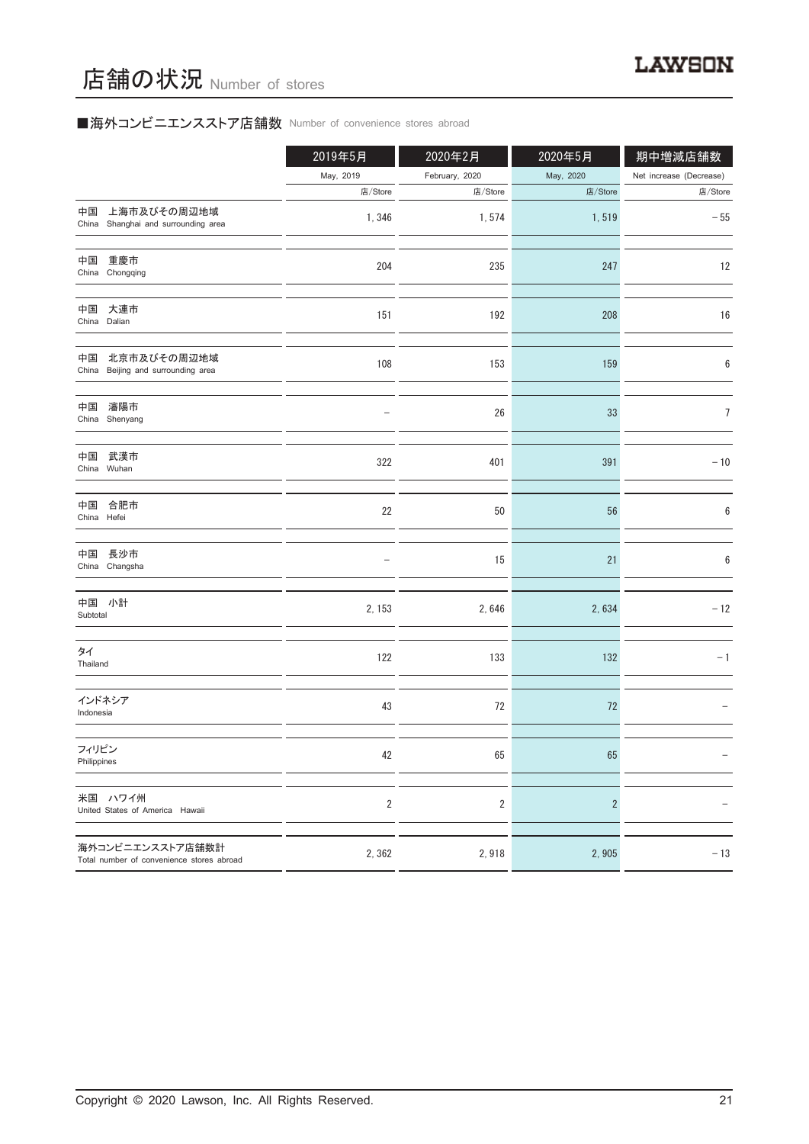# ■海外コンビニエンスストア店舗数 Number of convenience stores abroad

|                                                               | 2019年5月        | 2020年2月        | 2020年5月        | 期中増減店舗数                 |
|---------------------------------------------------------------|----------------|----------------|----------------|-------------------------|
|                                                               | May, 2019      | February, 2020 | May, 2020      | Net increase (Decrease) |
|                                                               | 店/Store        | 店/Store        | 店/Store        | 店/Store                 |
| 上海市及びその周辺地域<br>中国<br>China Shanghai and surrounding area      | 1,346          | 1,574          | 1,519          | $-55$                   |
| 中国<br>重慶市<br>China Chongqing                                  | 204            | 235            | 247            | 12                      |
| 中国<br>大連市<br>China Dalian                                     | 151            | 192            | 208            | 16                      |
| 北京市及びその周辺地域<br>中国<br>China Beijing and surrounding area       | 108            | 153            | 159            | 6                       |
| 瀋陽市<br>中国<br>China Shenyang                                   |                | 26             | 33             | 7                       |
| 中国<br>武漢市<br>China Wuhan                                      | 322            | 401            | 391            | $-10$                   |
| 中国<br>合肥市<br>China Hefei                                      | 22             | 50             | 56             | 6                       |
| 中国 長沙市<br>China Changsha                                      |                | 15             | 21             | 6                       |
| 中国 小計<br>Subtotal                                             | 2, 153         | 2,646          | 2,634          | $-12$                   |
| タイ<br>Thailand                                                | 122            | 133            | 132            | $-1$                    |
| インドネシア<br>Indonesia                                           | 43             | 72             | 72             |                         |
| フィリピン<br>Philippines                                          | 42             | 65             | 65             |                         |
| 米国 ハワイ州<br>United States of America Hawaii                    | $\overline{2}$ | $\overline{2}$ | $\overline{2}$ |                         |
| 海外コンビニエンスストア店舗数計<br>Total number of convenience stores abroad | 2,362          | 2,918          | 2,905          | $-13$                   |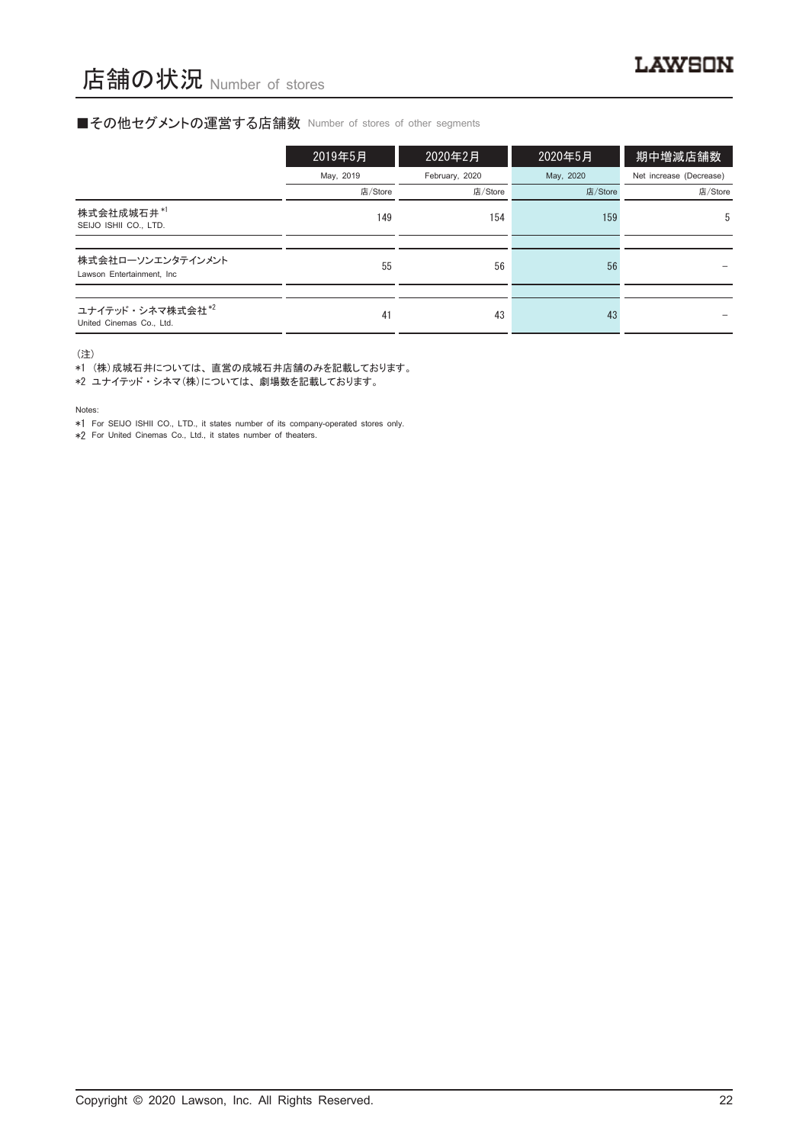#### ■その他セグメントの運営する店舗数 Number of stores of other segments

|                                                 | 2019年5月   | 2020年2月        | 2020年5月   | 期中増減店舗数                 |
|-------------------------------------------------|-----------|----------------|-----------|-------------------------|
|                                                 | May, 2019 | February, 2020 | May, 2020 | Net increase (Decrease) |
|                                                 | 店/Store   | 店/Store        | 店/Store   | 店/Store                 |
| 株式会社成城石井*1<br>SEIJO ISHII CO., LTD.             | 149       | 154            | 159       | 5                       |
|                                                 |           |                |           |                         |
| 株式会社ローソンエンタテインメント<br>Lawson Entertainment, Inc. | 55        | 56             | 56        |                         |
|                                                 |           |                |           |                         |
| ユナイテッド・シネマ株式会社*2<br>United Cinemas Co., Ltd.    | 41        | 43             | 43        |                         |

(注)

\*1 (株)成城石井については、 直営の成城石井店舗のみを記載しております。

\*2 ユナイテッド ・ シネマ(株)については、 劇場数を記載しております。

Notes:

\*1 For SEIJO ISHII CO., LTD., it states number of its company-operated stores only.

\*2 For United Cinemas Co., Ltd., it states number of theaters.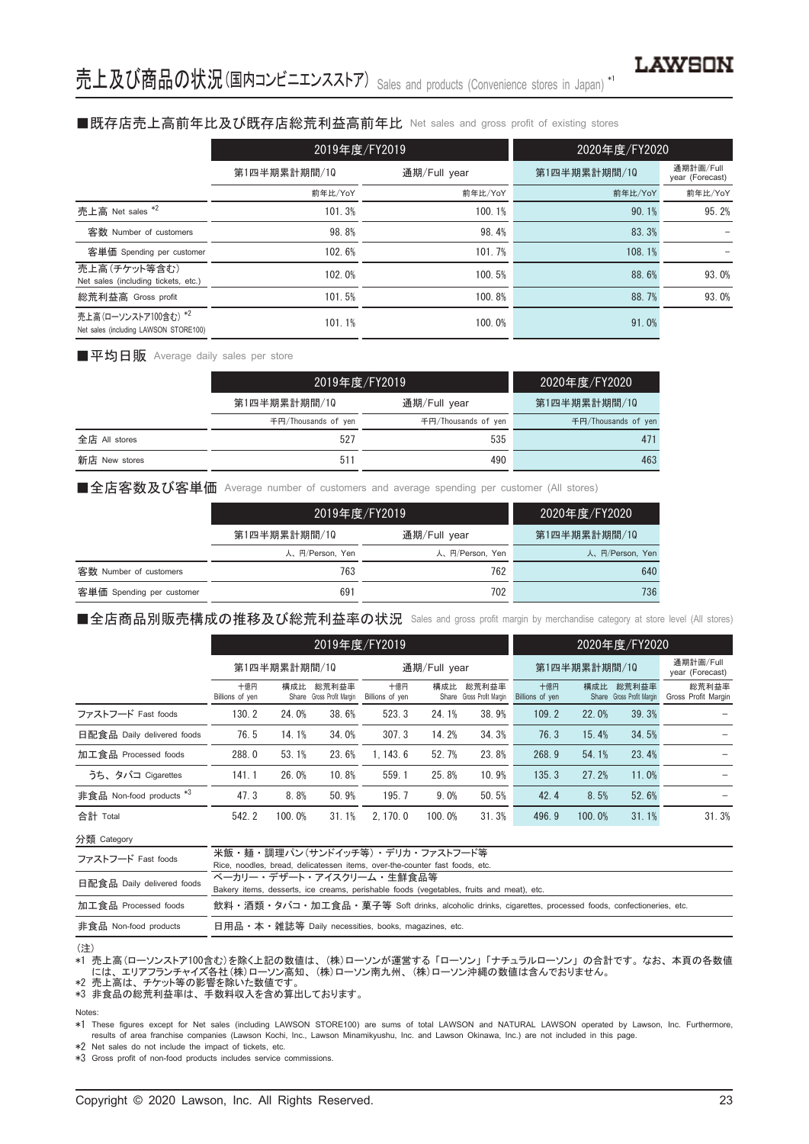#### ■既存店売上高前年比及び既存店総荒利益高前年比 Net sales and gross profit of existing stores

|                                                               | 2019年度/FY2019 |              | 2020年度/FY2020 |                              |
|---------------------------------------------------------------|---------------|--------------|---------------|------------------------------|
|                                                               | 第1四半期累計期間/10  | 通期/Full year | 第1四半期累計期間/10  | 通期計画/Full<br>year (Forecast) |
|                                                               | 前年比/YoY       | 前年比/YoY      | 前年比/YoY       | 前年比/YoY                      |
| 売上高 Net sales *2                                              | 101.3%        | 100.1%       | 90.1%         | 95.2%                        |
| 客数 Number of customers                                        | 98.8%         | 98.4%        | 83.3%         |                              |
| 客単価 Spending per customer                                     | 102.6%        | 101.7%       | 108.1%        |                              |
| 売上高(チケット等含む)<br>Net sales (including tickets, etc.)           | 102.0%        | 100.5%       | 88.6%         | 93.0%                        |
| 総荒利益高 Gross profit                                            | 101.5%        | 100.8%       | 88.7%         | 93.0%                        |
| 売上高(ローソンストア100含む) *2<br>Net sales (including LAWSON STORE100) | 101.1%        | 100.0%       | 91.0%         |                              |

■平均日販 Average daily sales per store

|               |                     | 2019年度/FY2019       |                     |  |  |
|---------------|---------------------|---------------------|---------------------|--|--|
|               | 第1四半期累計期間/10        | 通期/Full year        | 第1四半期累計期間/10        |  |  |
|               | 千円/Thousands of yen | 千円/Thousands of yen | 千円/Thousands of yen |  |  |
| 全店 All stores | 527                 | 535                 | 471                 |  |  |
| 新店 New stores | $51^{\circ}$        | 490                 | 463                 |  |  |

■全店客数及び客単価 Average number of customers and average spending per customer (All stores)

|                           | 2019年度/FY2019   |                 | 2020年度/FY2020   |
|---------------------------|-----------------|-----------------|-----------------|
|                           | 第1四半期累計期間/10    | 通期/Full year    | 第1四半期累計期間/10    |
|                           | 人、円/Person, Yen | 人、円/Person, Yen | 人、円/Person, Yen |
| 客数 Number of customers    | 763             | 762             | 640             |
| 客単価 Spending per customer | 691             | 702             | 736             |

■全店商品別販売構成の推移及び総荒利益率の状況 Sales and gross profit margin by merchandise category at store level (All stores)

|                                     | 2019年度/FY2019          |        |                                    |                        |        |                                    |                        | 2020年度/FY2020 |                                    |                              |
|-------------------------------------|------------------------|--------|------------------------------------|------------------------|--------|------------------------------------|------------------------|---------------|------------------------------------|------------------------------|
|                                     | 第1四半期累計期間/10           |        |                                    | 通期/Full year           |        |                                    | 第1四半期累計期間/10           |               |                                    | 通期計画/Full<br>year (Forecast) |
|                                     | 十億円<br>Billions of yen | 構成比    | 総荒利益率<br>Share Gross Profit Margin | 十億円<br>Billions of yen | 構成比    | 総荒利益率<br>Share Gross Profit Margin | 十億円<br>Billions of yen | 構成比           | 総荒利益率<br>Share Gross Profit Margin | 総荒利益率<br>Gross Profit Margin |
| ファストフード Fast foods                  | 130.2                  | 24.0%  | 38.6%                              | 523.3                  | 24.1%  | 38.9%                              | 109.2                  | 22.0%         | 39.3%                              |                              |
| 日配食品 Daily delivered foods          | 76.5                   | 14.1%  | 34.0%                              | 307.3                  | 14.2%  | 34.3%                              | 76.3                   | 15.4%         | 34.5%                              |                              |
| 加工食品 Processed foods                | 288.0                  | 53.1%  | 23.6%                              | 1.143.6                | 52.7%  | 23.8%                              | 268.9                  | 54.1%         | 23.4%                              |                              |
| うち、タバコ Cigarettes                   | 141.1                  | 26.0%  | 10.8%                              | 559.1                  | 25.8%  | 10.9%                              | 135.3                  | 27.2%         | 11.0%                              |                              |
| 非食品 Non-food products <sup>*3</sup> | 47.3                   | 8.8%   | 50.9%                              | 195.7                  | 9.0%   | 50.5%                              | 42.4                   | 8.5%          | 52.6%                              |                              |
| 合計 Total                            | 542.2                  | 100.0% | 31.1%                              | 2.170.0                | 100.0% | 31.3%                              | 496.9                  | 100.0%        | 31.1%                              | 31.3%                        |

分類 Category

| 米飯・麺・調理パン(サンドイッチ等)・デリカ・ファストフード等                                                                      |
|------------------------------------------------------------------------------------------------------|
| Rice, noodles, bread, delicatessen items, over-the-counter fast foods, etc.                          |
| ベーカリー・デザート・アイスクリーム・牛鮮食品等                                                                             |
| Bakery items, desserts, ice creams, perishable foods (vegetables, fruits and meat), etc.             |
| 飲料・酒類・タバコ・加工食品・菓子等 Soft drinks, alcoholic drinks, cigarettes, processed foods, confectioneries, etc. |
| 日用品 • 本 • 雑誌等 Daily necessities, books, magazines, etc.                                              |
|                                                                                                      |

#### (注)

\*1 売上高(ローソンストア100含む)を除く上記の数値は、 (株)ローソンが運営する 「ローソン」 「ナチュラルローソン」 の合計です。 なお、 本頁の各数値 には、 エリアフランチャイズ各社(株)ローソン高知、 (株)ローソン南九州、 (株)ローソン沖縄の数値は含んでおりません。 \*2 売上高は、 チケット等の影響を除いた数値です。

\*3 非食品の総荒利益率は、 手数料収入を含め算出しております。

#### Notes:

\*1 These figures except for Net sales (including LAWSON STORE100) are sums of total LAWSON and NATURAL LAWSON operated by Lawson, Inc. Furthermore, results of area franchise companies (Lawson Kochi, Inc., Lawson Minamikyushu, Inc. and Lawson Okinawa, Inc.) are not included in this page.

\*2 Net sales do not include the impact of tickets, etc.

\*3 Gross profit of non-food products includes service commissions.